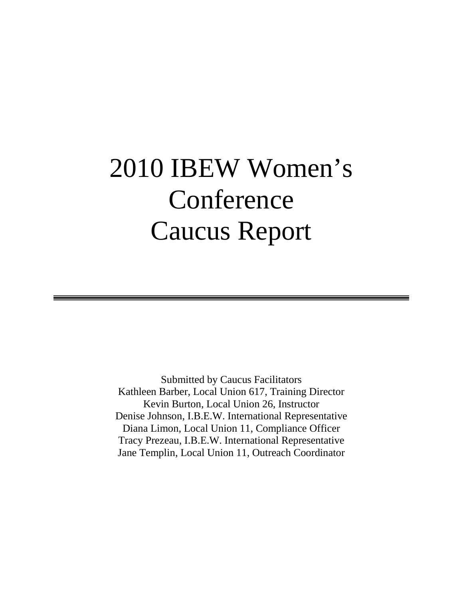# 2010 IBEW Women's Conference Caucus Report

Submitted by Caucus Facilitators Kathleen Barber, Local Union 617, Training Director Kevin Burton, Local Union 26, Instructor Denise Johnson, I.B.E.W. International Representative Diana Limon, Local Union 11, Compliance Officer Tracy Prezeau, I.B.E.W. International Representative Jane Templin, Local Union 11, Outreach Coordinator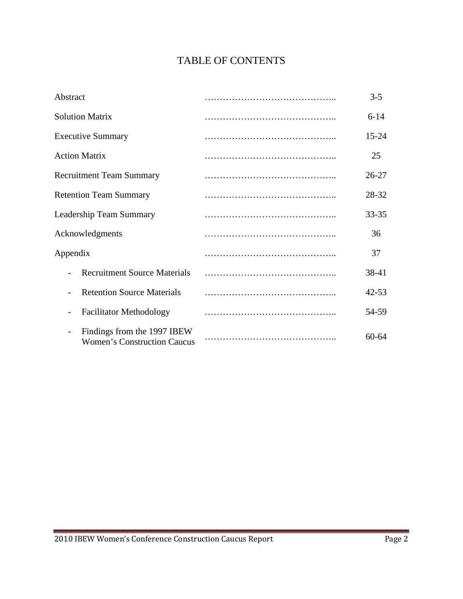# TABLE OF CONTENTS

| Abstract                                                                                      | $3 - 5$   |
|-----------------------------------------------------------------------------------------------|-----------|
| <b>Solution Matrix</b>                                                                        | $6 - 14$  |
| <b>Executive Summary</b>                                                                      | $15 - 24$ |
| <b>Action Matrix</b>                                                                          | 25        |
| <b>Recruitment Team Summary</b>                                                               | $26 - 27$ |
| <b>Retention Team Summary</b>                                                                 | 28-32     |
| Leadership Team Summary                                                                       | $33 - 35$ |
| Acknowledgments                                                                               | 36        |
| Appendix                                                                                      | 37        |
| <b>Recruitment Source Materials</b>                                                           | 38-41     |
| <b>Retention Source Materials</b>                                                             | $42 - 53$ |
| <b>Facilitator Methodology</b>                                                                | 54-59     |
| Findings from the 1997 IBEW<br>$\overline{\phantom{a}}$<br><b>Women's Construction Caucus</b> | $60 - 64$ |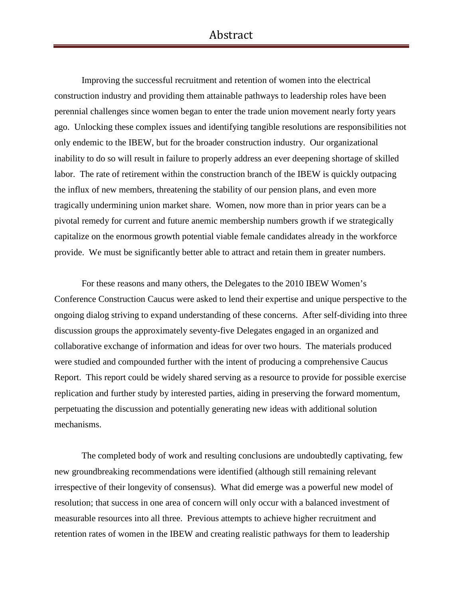# Abstract

Improving the successful recruitment and retention of women into the electrical construction industry and providing them attainable pathways to leadership roles have been perennial challenges since women began to enter the trade union movement nearly forty years ago. Unlocking these complex issues and identifying tangible resolutions are responsibilities not only endemic to the IBEW, but for the broader construction industry. Our organizational inability to do so will result in failure to properly address an ever deepening shortage of skilled labor. The rate of retirement within the construction branch of the IBEW is quickly outpacing the influx of new members, threatening the stability of our pension plans, and even more tragically undermining union market share. Women, now more than in prior years can be a pivotal remedy for current and future anemic membership numbers growth if we strategically capitalize on the enormous growth potential viable female candidates already in the workforce provide. We must be significantly better able to attract and retain them in greater numbers.

For these reasons and many others, the Delegates to the 2010 IBEW Women's Conference Construction Caucus were asked to lend their expertise and unique perspective to the ongoing dialog striving to expand understanding of these concerns. After self-dividing into three discussion groups the approximately seventy-five Delegates engaged in an organized and collaborative exchange of information and ideas for over two hours. The materials produced were studied and compounded further with the intent of producing a comprehensive Caucus Report. This report could be widely shared serving as a resource to provide for possible exercise replication and further study by interested parties, aiding in preserving the forward momentum, perpetuating the discussion and potentially generating new ideas with additional solution mechanisms.

The completed body of work and resulting conclusions are undoubtedly captivating, few new groundbreaking recommendations were identified (although still remaining relevant irrespective of their longevity of consensus). What did emerge was a powerful new model of resolution; that success in one area of concern will only occur with a balanced investment of measurable resources into all three. Previous attempts to achieve higher recruitment and retention rates of women in the IBEW and creating realistic pathways for them to leadership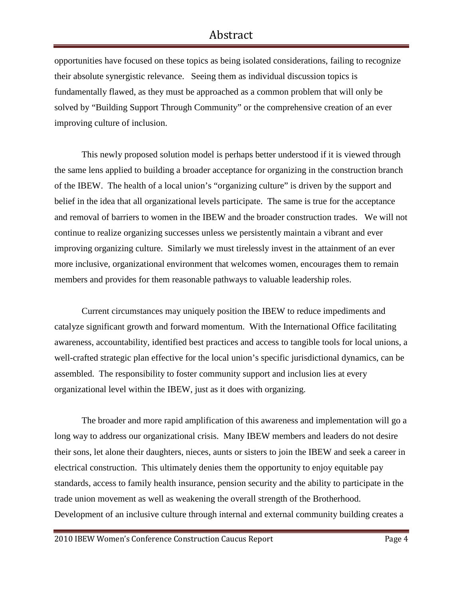# Abstract

opportunities have focused on these topics as being isolated considerations, failing to recognize their absolute synergistic relevance. Seeing them as individual discussion topics is fundamentally flawed, as they must be approached as a common problem that will only be solved by "Building Support Through Community" or the comprehensive creation of an ever improving culture of inclusion.

This newly proposed solution model is perhaps better understood if it is viewed through the same lens applied to building a broader acceptance for organizing in the construction branch of the IBEW. The health of a local union's "organizing culture" is driven by the support and belief in the idea that all organizational levels participate. The same is true for the acceptance and removal of barriers to women in the IBEW and the broader construction trades. We will not continue to realize organizing successes unless we persistently maintain a vibrant and ever improving organizing culture. Similarly we must tirelessly invest in the attainment of an ever more inclusive, organizational environment that welcomes women, encourages them to remain members and provides for them reasonable pathways to valuable leadership roles.

Current circumstances may uniquely position the IBEW to reduce impediments and catalyze significant growth and forward momentum. With the International Office facilitating awareness, accountability, identified best practices and access to tangible tools for local unions, a well-crafted strategic plan effective for the local union's specific jurisdictional dynamics, can be assembled. The responsibility to foster community support and inclusion lies at every organizational level within the IBEW, just as it does with organizing.

The broader and more rapid amplification of this awareness and implementation will go a long way to address our organizational crisis. Many IBEW members and leaders do not desire their sons, let alone their daughters, nieces, aunts or sisters to join the IBEW and seek a career in electrical construction. This ultimately denies them the opportunity to enjoy equitable pay standards, access to family health insurance, pension security and the ability to participate in the trade union movement as well as weakening the overall strength of the Brotherhood. Development of an inclusive culture through internal and external community building creates a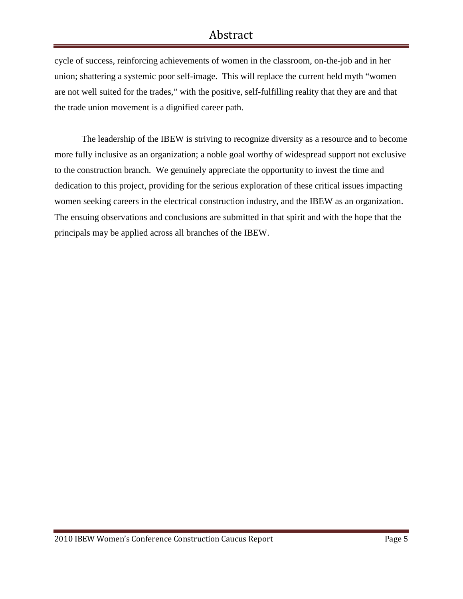# Abstract

cycle of success, reinforcing achievements of women in the classroom, on-the-job and in her union; shattering a systemic poor self-image. This will replace the current held myth "women are not well suited for the trades," with the positive, self-fulfilling reality that they are and that the trade union movement is a dignified career path.

The leadership of the IBEW is striving to recognize diversity as a resource and to become more fully inclusive as an organization; a noble goal worthy of widespread support not exclusive to the construction branch. We genuinely appreciate the opportunity to invest the time and dedication to this project, providing for the serious exploration of these critical issues impacting women seeking careers in the electrical construction industry, and the IBEW as an organization. The ensuing observations and conclusions are submitted in that spirit and with the hope that the principals may be applied across all branches of the IBEW.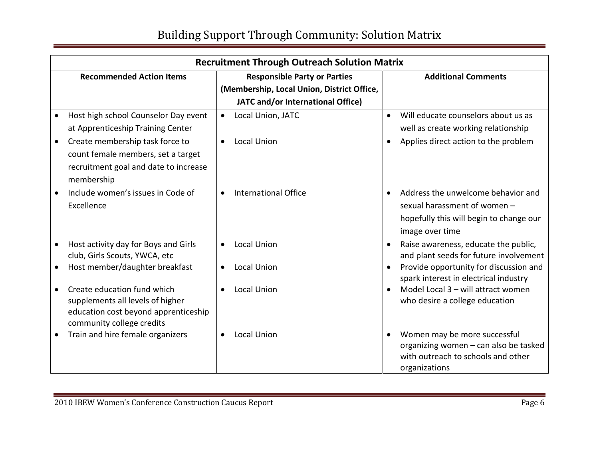| <b>Recruitment Through Outreach Solution Matrix</b> |                                            |                                                                                 |  |  |
|-----------------------------------------------------|--------------------------------------------|---------------------------------------------------------------------------------|--|--|
| <b>Recommended Action Items</b>                     | <b>Responsible Party or Parties</b>        | <b>Additional Comments</b>                                                      |  |  |
|                                                     | (Membership, Local Union, District Office, |                                                                                 |  |  |
|                                                     | JATC and/or International Office)          |                                                                                 |  |  |
| Host high school Counselor Day event                | Local Union, JATC                          | Will educate counselors about us as<br>$\bullet$                                |  |  |
| at Apprenticeship Training Center                   |                                            | well as create working relationship                                             |  |  |
| Create membership task force to<br>$\bullet$        | <b>Local Union</b>                         | Applies direct action to the problem                                            |  |  |
| count female members, set a target                  |                                            |                                                                                 |  |  |
| recruitment goal and date to increase<br>membership |                                            |                                                                                 |  |  |
| Include women's issues in Code of                   | <b>International Office</b>                | Address the unwelcome behavior and                                              |  |  |
| Excellence                                          |                                            | sexual harassment of women -                                                    |  |  |
|                                                     |                                            | hopefully this will begin to change our                                         |  |  |
|                                                     |                                            | image over time                                                                 |  |  |
| Host activity day for Boys and Girls                | <b>Local Union</b>                         | Raise awareness, educate the public,                                            |  |  |
| club, Girls Scouts, YWCA, etc                       |                                            | and plant seeds for future involvement                                          |  |  |
| Host member/daughter breakfast                      | <b>Local Union</b>                         | Provide opportunity for discussion and<br>spark interest in electrical industry |  |  |
| Create education fund which                         | <b>Local Union</b>                         | Model Local 3 - will attract women                                              |  |  |
| supplements all levels of higher                    |                                            | who desire a college education                                                  |  |  |
| education cost beyond apprenticeship                |                                            |                                                                                 |  |  |
| community college credits                           |                                            |                                                                                 |  |  |
| Train and hire female organizers                    | <b>Local Union</b>                         | Women may be more successful                                                    |  |  |
|                                                     |                                            | organizing women - can also be tasked<br>with outreach to schools and other     |  |  |
|                                                     |                                            | organizations                                                                   |  |  |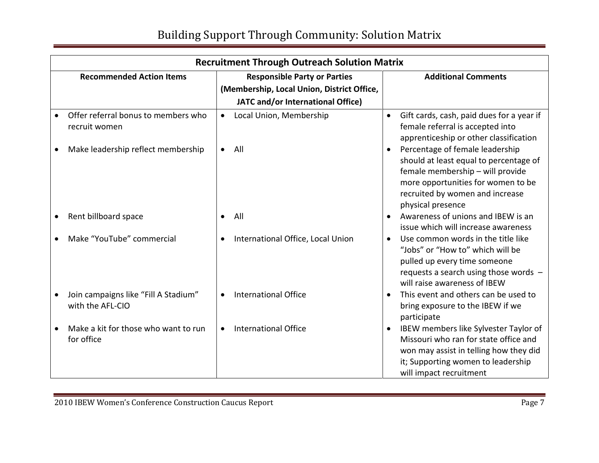| <b>Recruitment Through Outreach Solution Matrix</b>      |           |                                                                                                                        |           |                                                                                                                                                                                                             |
|----------------------------------------------------------|-----------|------------------------------------------------------------------------------------------------------------------------|-----------|-------------------------------------------------------------------------------------------------------------------------------------------------------------------------------------------------------------|
| <b>Recommended Action Items</b>                          |           | <b>Responsible Party or Parties</b><br>(Membership, Local Union, District Office,<br>JATC and/or International Office) |           | <b>Additional Comments</b>                                                                                                                                                                                  |
| Offer referral bonus to members who<br>recruit women     | $\bullet$ | Local Union, Membership                                                                                                | $\bullet$ | Gift cards, cash, paid dues for a year if<br>female referral is accepted into<br>apprenticeship or other classification                                                                                     |
| Make leadership reflect membership                       | $\bullet$ | All                                                                                                                    |           | Percentage of female leadership<br>should at least equal to percentage of<br>female membership - will provide<br>more opportunities for women to be<br>recruited by women and increase<br>physical presence |
| Rent billboard space                                     | $\bullet$ | All                                                                                                                    |           | Awareness of unions and IBEW is an<br>issue which will increase awareness                                                                                                                                   |
| Make "YouTube" commercial                                | $\bullet$ | International Office, Local Union                                                                                      | $\bullet$ | Use common words in the title like<br>"Jobs" or "How to" which will be<br>pulled up every time someone<br>requests a search using those words -<br>will raise awareness of IBEW                             |
| Join campaigns like "Fill A Stadium"<br>with the AFL-CIO |           | <b>International Office</b>                                                                                            |           | This event and others can be used to<br>bring exposure to the IBEW if we<br>participate                                                                                                                     |
| Make a kit for those who want to run<br>for office       |           | <b>International Office</b>                                                                                            |           | IBEW members like Sylvester Taylor of<br>Missouri who ran for state office and<br>won may assist in telling how they did<br>it; Supporting women to leadership<br>will impact recruitment                   |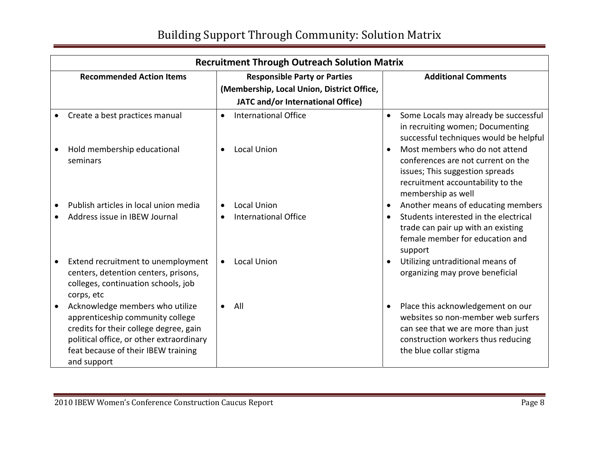| <b>Recruitment Through Outreach Solution Matrix</b>                                                                                                                                                             |           |                                            |           |                                                                                                                                                                               |
|-----------------------------------------------------------------------------------------------------------------------------------------------------------------------------------------------------------------|-----------|--------------------------------------------|-----------|-------------------------------------------------------------------------------------------------------------------------------------------------------------------------------|
| <b>Recommended Action Items</b>                                                                                                                                                                                 |           | <b>Responsible Party or Parties</b>        |           | <b>Additional Comments</b>                                                                                                                                                    |
|                                                                                                                                                                                                                 |           | (Membership, Local Union, District Office, |           |                                                                                                                                                                               |
|                                                                                                                                                                                                                 |           | JATC and/or International Office)          |           |                                                                                                                                                                               |
| Create a best practices manual                                                                                                                                                                                  | $\bullet$ | <b>International Office</b>                | $\bullet$ | Some Locals may already be successful<br>in recruiting women; Documenting<br>successful techniques would be helpful                                                           |
| Hold membership educational<br>seminars                                                                                                                                                                         |           | <b>Local Union</b>                         |           | Most members who do not attend<br>conferences are not current on the<br>issues; This suggestion spreads<br>recruitment accountability to the<br>membership as well            |
| Publish articles in local union media                                                                                                                                                                           |           | <b>Local Union</b>                         |           | Another means of educating members                                                                                                                                            |
| Address issue in IBEW Journal                                                                                                                                                                                   | $\bullet$ | <b>International Office</b>                |           | Students interested in the electrical<br>trade can pair up with an existing<br>female member for education and<br>support                                                     |
| Extend recruitment to unemployment<br>centers, detention centers, prisons,<br>colleges, continuation schools, job<br>corps, etc                                                                                 |           | <b>Local Union</b>                         |           | Utilizing untraditional means of<br>organizing may prove beneficial                                                                                                           |
| Acknowledge members who utilize<br>apprenticeship community college<br>credits for their college degree, gain<br>political office, or other extraordinary<br>feat because of their IBEW training<br>and support |           | All                                        |           | Place this acknowledgement on our<br>websites so non-member web surfers<br>can see that we are more than just<br>construction workers thus reducing<br>the blue collar stigma |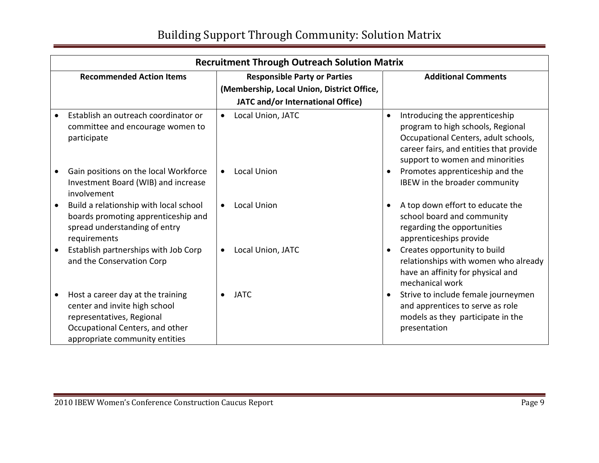|           | <b>Recruitment Through Outreach Solution Matrix</b>                                                                                                                  |           |                                                                                                                        |           |                                                                                                                                                                                           |
|-----------|----------------------------------------------------------------------------------------------------------------------------------------------------------------------|-----------|------------------------------------------------------------------------------------------------------------------------|-----------|-------------------------------------------------------------------------------------------------------------------------------------------------------------------------------------------|
|           | <b>Recommended Action Items</b>                                                                                                                                      |           | <b>Responsible Party or Parties</b><br>(Membership, Local Union, District Office,<br>JATC and/or International Office) |           | <b>Additional Comments</b>                                                                                                                                                                |
|           | Establish an outreach coordinator or<br>committee and encourage women to<br>participate                                                                              | $\bullet$ | Local Union, JATC                                                                                                      | $\bullet$ | Introducing the apprenticeship<br>program to high schools, Regional<br>Occupational Centers, adult schools,<br>career fairs, and entities that provide<br>support to women and minorities |
|           | Gain positions on the local Workforce<br>Investment Board (WIB) and increase<br>involvement                                                                          |           | <b>Local Union</b>                                                                                                     |           | Promotes apprenticeship and the<br>IBEW in the broader community                                                                                                                          |
| $\bullet$ | Build a relationship with local school<br>boards promoting apprenticeship and<br>spread understanding of entry<br>requirements                                       |           | <b>Local Union</b>                                                                                                     |           | A top down effort to educate the<br>school board and community<br>regarding the opportunities<br>apprenticeships provide                                                                  |
|           | Establish partnerships with Job Corp<br>and the Conservation Corp                                                                                                    |           | Local Union, JATC                                                                                                      |           | Creates opportunity to build<br>relationships with women who already<br>have an affinity for physical and<br>mechanical work                                                              |
|           | Host a career day at the training<br>center and invite high school<br>representatives, Regional<br>Occupational Centers, and other<br>appropriate community entities |           | <b>JATC</b>                                                                                                            |           | Strive to include female journeymen<br>and apprentices to serve as role<br>models as they participate in the<br>presentation                                                              |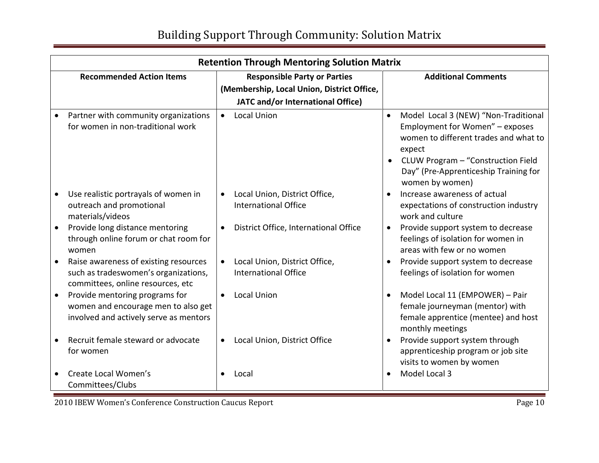|           | <b>Retention Through Mentoring Solution Matrix</b>                                                                 |                                                              |           |                                                                                                                               |  |
|-----------|--------------------------------------------------------------------------------------------------------------------|--------------------------------------------------------------|-----------|-------------------------------------------------------------------------------------------------------------------------------|--|
|           | <b>Recommended Action Items</b>                                                                                    | <b>Responsible Party or Parties</b>                          |           | <b>Additional Comments</b>                                                                                                    |  |
|           |                                                                                                                    | (Membership, Local Union, District Office,                   |           |                                                                                                                               |  |
|           |                                                                                                                    | JATC and/or International Office)                            |           |                                                                                                                               |  |
|           | Partner with community organizations<br>for women in non-traditional work                                          | <b>Local Union</b><br>$\bullet$                              | $\bullet$ | Model Local 3 (NEW) "Non-Traditional<br>Employment for Women" - exposes<br>women to different trades and what to<br>expect    |  |
|           |                                                                                                                    |                                                              | $\bullet$ | CLUW Program - "Construction Field<br>Day" (Pre-Apprenticeship Training for<br>women by women)                                |  |
|           | Use realistic portrayals of women in<br>outreach and promotional<br>materials/videos                               | Local Union, District Office,<br><b>International Office</b> |           | Increase awareness of actual<br>expectations of construction industry<br>work and culture                                     |  |
|           | Provide long distance mentoring<br>through online forum or chat room for<br>women                                  | District Office, International Office                        | $\bullet$ | Provide support system to decrease<br>feelings of isolation for women in<br>areas with few or no women                        |  |
|           | Raise awareness of existing resources<br>such as tradeswomen's organizations,<br>committees, online resources, etc | Local Union, District Office,<br><b>International Office</b> |           | Provide support system to decrease<br>feelings of isolation for women                                                         |  |
| $\bullet$ | Provide mentoring programs for<br>women and encourage men to also get<br>involved and actively serve as mentors    | <b>Local Union</b><br>$\bullet$                              |           | Model Local 11 (EMPOWER) - Pair<br>female journeyman (mentor) with<br>female apprentice (mentee) and host<br>monthly meetings |  |
|           | Recruit female steward or advocate<br>for women                                                                    | Local Union, District Office                                 | $\bullet$ | Provide support system through<br>apprenticeship program or job site<br>visits to women by women                              |  |
|           | Create Local Women's<br>Committees/Clubs                                                                           | Local                                                        |           | Model Local 3                                                                                                                 |  |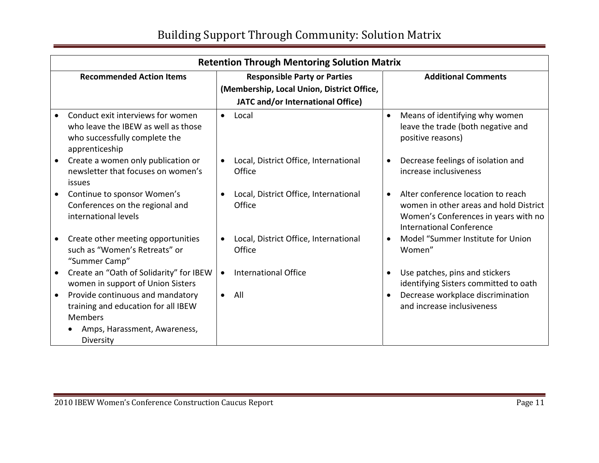|           | <b>Retention Through Mentoring Solution Matrix</b>                                                                                     |                                                 |           |                                                                                                                                                         |  |
|-----------|----------------------------------------------------------------------------------------------------------------------------------------|-------------------------------------------------|-----------|---------------------------------------------------------------------------------------------------------------------------------------------------------|--|
|           | <b>Recommended Action Items</b>                                                                                                        | <b>Responsible Party or Parties</b>             |           | <b>Additional Comments</b>                                                                                                                              |  |
|           |                                                                                                                                        | (Membership, Local Union, District Office,      |           |                                                                                                                                                         |  |
|           |                                                                                                                                        | JATC and/or International Office)               |           |                                                                                                                                                         |  |
|           | Conduct exit interviews for women<br>who leave the IBEW as well as those<br>who successfully complete the<br>apprenticeship            | Local<br>$\bullet$                              | $\bullet$ | Means of identifying why women<br>leave the trade (both negative and<br>positive reasons)                                                               |  |
| $\bullet$ | Create a women only publication or<br>newsletter that focuses on women's<br>issues                                                     | Local, District Office, International<br>Office | $\bullet$ | Decrease feelings of isolation and<br>increase inclusiveness                                                                                            |  |
|           | Continue to sponsor Women's<br>Conferences on the regional and<br>international levels                                                 | Local, District Office, International<br>Office |           | Alter conference location to reach<br>women in other areas and hold District<br>Women's Conferences in years with no<br><b>International Conference</b> |  |
| $\bullet$ | Create other meeting opportunities<br>such as "Women's Retreats" or<br>"Summer Camp"                                                   | Local, District Office, International<br>Office |           | Model "Summer Institute for Union<br>Women"                                                                                                             |  |
|           | Create an "Oath of Solidarity" for IBEW<br>women in support of Union Sisters                                                           | <b>International Office</b>                     |           | Use patches, pins and stickers<br>identifying Sisters committed to oath                                                                                 |  |
| $\bullet$ | Provide continuous and mandatory<br>training and education for all IBEW<br><b>Members</b><br>Amps, Harassment, Awareness,<br>Diversity | All<br>$\bullet$                                |           | Decrease workplace discrimination<br>and increase inclusiveness                                                                                         |  |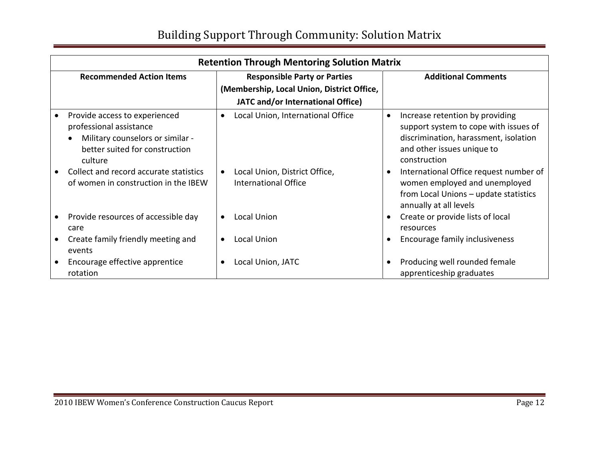| <b>Retention Through Mentoring Solution Matrix</b>                                                                                        |           |                                                       |           |                                                                                                                                                                 |
|-------------------------------------------------------------------------------------------------------------------------------------------|-----------|-------------------------------------------------------|-----------|-----------------------------------------------------------------------------------------------------------------------------------------------------------------|
| <b>Recommended Action Items</b>                                                                                                           |           | <b>Responsible Party or Parties</b>                   |           | <b>Additional Comments</b>                                                                                                                                      |
|                                                                                                                                           |           | (Membership, Local Union, District Office,            |           |                                                                                                                                                                 |
|                                                                                                                                           |           | JATC and/or International Office)                     |           |                                                                                                                                                                 |
| Provide access to experienced<br>professional assistance<br>Military counselors or similar -<br>better suited for construction<br>culture | $\bullet$ | Local Union, International Office                     | $\bullet$ | Increase retention by providing<br>support system to cope with issues of<br>discrimination, harassment, isolation<br>and other issues unique to<br>construction |
| Collect and record accurate statistics<br>of women in construction in the IBEW                                                            | $\bullet$ | Local Union, District Office,<br>International Office |           | International Office request number of<br>women employed and unemployed<br>from Local Unions - update statistics<br>annually at all levels                      |
| Provide resources of accessible day<br>care                                                                                               | $\bullet$ | Local Union                                           |           | Create or provide lists of local<br>resources                                                                                                                   |
| Create family friendly meeting and<br>events                                                                                              |           | Local Union                                           |           | Encourage family inclusiveness                                                                                                                                  |
| Encourage effective apprentice<br>rotation                                                                                                | $\bullet$ | Local Union, JATC                                     |           | Producing well rounded female<br>apprenticeship graduates                                                                                                       |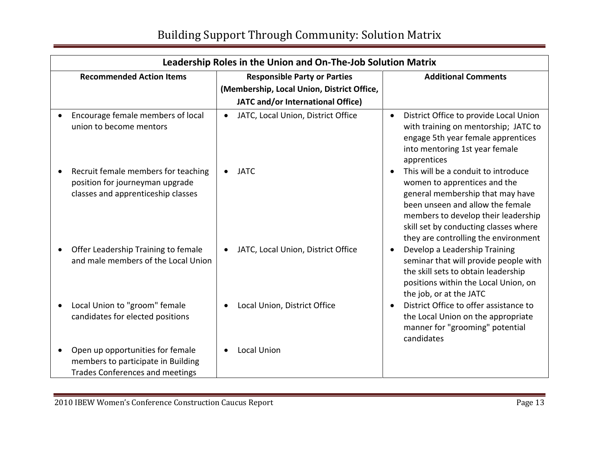| Leadership Roles in the Union and On-The-Job Solution Matrix                                                              |                                                                                                                        |                                                                                                                                                                                                                                                                     |  |  |
|---------------------------------------------------------------------------------------------------------------------------|------------------------------------------------------------------------------------------------------------------------|---------------------------------------------------------------------------------------------------------------------------------------------------------------------------------------------------------------------------------------------------------------------|--|--|
| <b>Recommended Action Items</b>                                                                                           | <b>Responsible Party or Parties</b><br>(Membership, Local Union, District Office,<br>JATC and/or International Office) | <b>Additional Comments</b>                                                                                                                                                                                                                                          |  |  |
| Encourage female members of local<br>$\bullet$<br>union to become mentors                                                 | JATC, Local Union, District Office<br>$\bullet$                                                                        | District Office to provide Local Union<br>$\bullet$<br>with training on mentorship; JATC to<br>engage 5th year female apprentices<br>into mentoring 1st year female<br>apprentices                                                                                  |  |  |
| Recruit female members for teaching<br>$\bullet$<br>position for journeyman upgrade<br>classes and apprenticeship classes | <b>JATC</b>                                                                                                            | This will be a conduit to introduce<br>women to apprentices and the<br>general membership that may have<br>been unseen and allow the female<br>members to develop their leadership<br>skill set by conducting classes where<br>they are controlling the environment |  |  |
| Offer Leadership Training to female<br>$\bullet$<br>and male members of the Local Union                                   | JATC, Local Union, District Office<br>$\bullet$                                                                        | Develop a Leadership Training<br>seminar that will provide people with<br>the skill sets to obtain leadership<br>positions within the Local Union, on<br>the job, or at the JATC                                                                                    |  |  |
| Local Union to "groom" female<br>$\bullet$<br>candidates for elected positions                                            | Local Union, District Office                                                                                           | District Office to offer assistance to<br>the Local Union on the appropriate<br>manner for "grooming" potential<br>candidates                                                                                                                                       |  |  |
| Open up opportunities for female<br>$\bullet$<br>members to participate in Building<br>Trades Conferences and meetings    | <b>Local Union</b>                                                                                                     |                                                                                                                                                                                                                                                                     |  |  |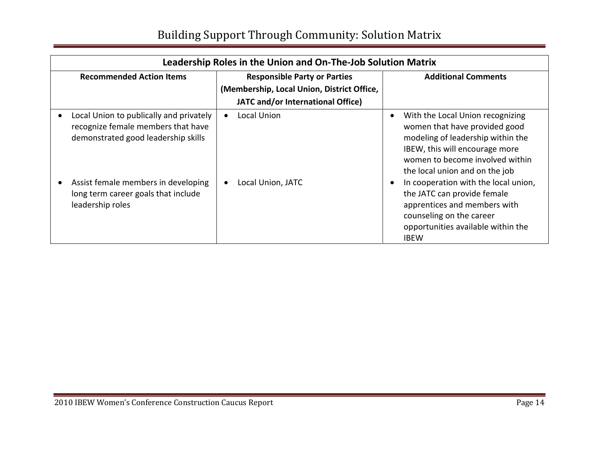| Leadership Roles in the Union and On-The-Job Solution Matrix                                                         |                                                                                                                        |                                                                                                                                                                                                                            |  |  |
|----------------------------------------------------------------------------------------------------------------------|------------------------------------------------------------------------------------------------------------------------|----------------------------------------------------------------------------------------------------------------------------------------------------------------------------------------------------------------------------|--|--|
| <b>Recommended Action Items</b>                                                                                      | <b>Responsible Party or Parties</b><br>(Membership, Local Union, District Office,<br>JATC and/or International Office) | <b>Additional Comments</b>                                                                                                                                                                                                 |  |  |
| Local Union to publically and privately<br>recognize female members that have<br>demonstrated good leadership skills | Local Union<br>$\bullet$                                                                                               | With the Local Union recognizing<br>$\bullet$<br>women that have provided good<br>modeling of leadership within the<br>IBEW, this will encourage more<br>women to become involved within<br>the local union and on the job |  |  |
| Assist female members in developing<br>long term career goals that include<br>leadership roles                       | Local Union, JATC<br>$\bullet$                                                                                         | In cooperation with the local union,<br>$\bullet$<br>the JATC can provide female<br>apprentices and members with<br>counseling on the career<br>opportunities available within the<br><b>IBEW</b>                          |  |  |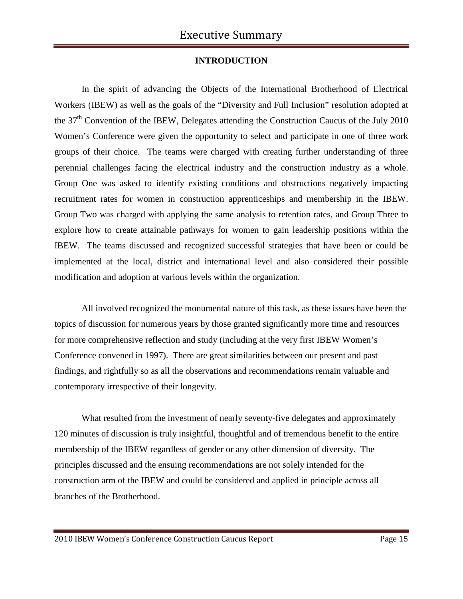# **INTRODUCTION**

In the spirit of advancing the Objects of the International Brotherhood of Electrical Workers (IBEW) as well as the goals of the "Diversity and Full Inclusion" resolution adopted at the 37<sup>th</sup> Convention of the IBEW, Delegates attending the Construction Caucus of the July 2010 Women's Conference were given the opportunity to select and participate in one of three work groups of their choice. The teams were charged with creating further understanding of three perennial challenges facing the electrical industry and the construction industry as a whole. Group One was asked to identify existing conditions and obstructions negatively impacting recruitment rates for women in construction apprenticeships and membership in the IBEW. Group Two was charged with applying the same analysis to retention rates, and Group Three to explore how to create attainable pathways for women to gain leadership positions within the IBEW. The teams discussed and recognized successful strategies that have been or could be implemented at the local, district and international level and also considered their possible modification and adoption at various levels within the organization.

All involved recognized the monumental nature of this task, as these issues have been the topics of discussion for numerous years by those granted significantly more time and resources for more comprehensive reflection and study (including at the very first IBEW Women's Conference convened in 1997). There are great similarities between our present and past findings, and rightfully so as all the observations and recommendations remain valuable and contemporary irrespective of their longevity.

What resulted from the investment of nearly seventy-five delegates and approximately 120 minutes of discussion is truly insightful, thoughtful and of tremendous benefit to the entire membership of the IBEW regardless of gender or any other dimension of diversity. The principles discussed and the ensuing recommendations are not solely intended for the construction arm of the IBEW and could be considered and applied in principle across all branches of the Brotherhood.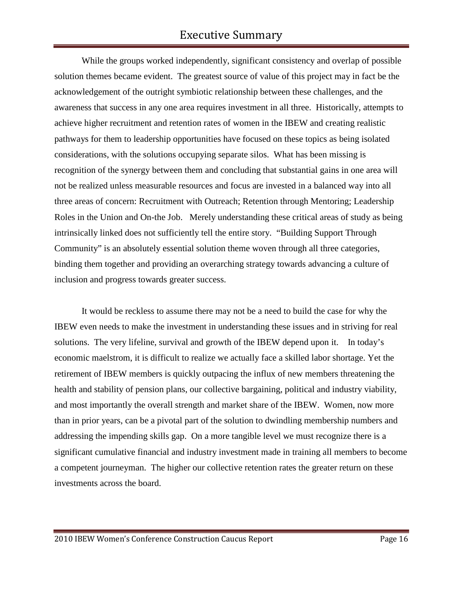While the groups worked independently, significant consistency and overlap of possible solution themes became evident. The greatest source of value of this project may in fact be the acknowledgement of the outright symbiotic relationship between these challenges, and the awareness that success in any one area requires investment in all three. Historically, attempts to achieve higher recruitment and retention rates of women in the IBEW and creating realistic pathways for them to leadership opportunities have focused on these topics as being isolated considerations, with the solutions occupying separate silos. What has been missing is recognition of the synergy between them and concluding that substantial gains in one area will not be realized unless measurable resources and focus are invested in a balanced way into all three areas of concern: Recruitment with Outreach; Retention through Mentoring; Leadership Roles in the Union and On-the Job. Merely understanding these critical areas of study as being intrinsically linked does not sufficiently tell the entire story. "Building Support Through Community" is an absolutely essential solution theme woven through all three categories, binding them together and providing an overarching strategy towards advancing a culture of inclusion and progress towards greater success.

It would be reckless to assume there may not be a need to build the case for why the IBEW even needs to make the investment in understanding these issues and in striving for real solutions. The very lifeline, survival and growth of the IBEW depend upon it. In today's economic maelstrom, it is difficult to realize we actually face a skilled labor shortage. Yet the retirement of IBEW members is quickly outpacing the influx of new members threatening the health and stability of pension plans, our collective bargaining, political and industry viability, and most importantly the overall strength and market share of the IBEW. Women, now more than in prior years, can be a pivotal part of the solution to dwindling membership numbers and addressing the impending skills gap. On a more tangible level we must recognize there is a significant cumulative financial and industry investment made in training all members to become a competent journeyman. The higher our collective retention rates the greater return on these investments across the board.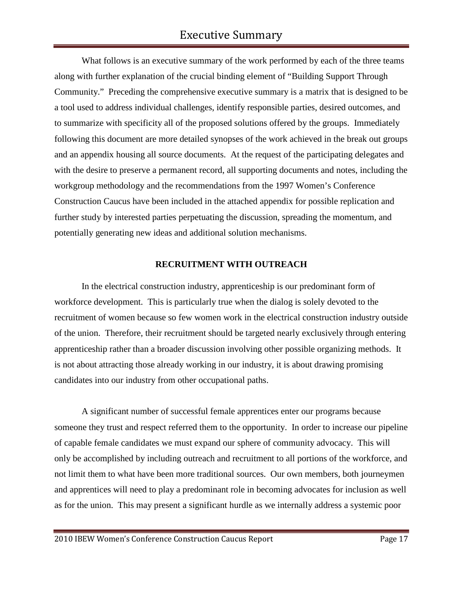What follows is an executive summary of the work performed by each of the three teams along with further explanation of the crucial binding element of "Building Support Through Community." Preceding the comprehensive executive summary is a matrix that is designed to be a tool used to address individual challenges, identify responsible parties, desired outcomes, and to summarize with specificity all of the proposed solutions offered by the groups. Immediately following this document are more detailed synopses of the work achieved in the break out groups and an appendix housing all source documents. At the request of the participating delegates and with the desire to preserve a permanent record, all supporting documents and notes, including the workgroup methodology and the recommendations from the 1997 Women's Conference Construction Caucus have been included in the attached appendix for possible replication and further study by interested parties perpetuating the discussion, spreading the momentum, and potentially generating new ideas and additional solution mechanisms.

## **RECRUITMENT WITH OUTREACH**

In the electrical construction industry, apprenticeship is our predominant form of workforce development. This is particularly true when the dialog is solely devoted to the recruitment of women because so few women work in the electrical construction industry outside of the union. Therefore, their recruitment should be targeted nearly exclusively through entering apprenticeship rather than a broader discussion involving other possible organizing methods. It is not about attracting those already working in our industry, it is about drawing promising candidates into our industry from other occupational paths.

A significant number of successful female apprentices enter our programs because someone they trust and respect referred them to the opportunity. In order to increase our pipeline of capable female candidates we must expand our sphere of community advocacy. This will only be accomplished by including outreach and recruitment to all portions of the workforce, and not limit them to what have been more traditional sources. Our own members, both journeymen and apprentices will need to play a predominant role in becoming advocates for inclusion as well as for the union. This may present a significant hurdle as we internally address a systemic poor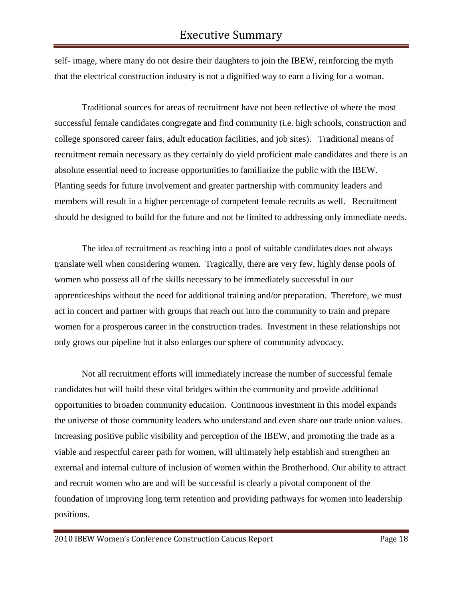self- image, where many do not desire their daughters to join the IBEW, reinforcing the myth that the electrical construction industry is not a dignified way to earn a living for a woman.

Traditional sources for areas of recruitment have not been reflective of where the most successful female candidates congregate and find community (i.e. high schools, construction and college sponsored career fairs, adult education facilities, and job sites). Traditional means of recruitment remain necessary as they certainly do yield proficient male candidates and there is an absolute essential need to increase opportunities to familiarize the public with the IBEW. Planting seeds for future involvement and greater partnership with community leaders and members will result in a higher percentage of competent female recruits as well. Recruitment should be designed to build for the future and not be limited to addressing only immediate needs.

The idea of recruitment as reaching into a pool of suitable candidates does not always translate well when considering women. Tragically, there are very few, highly dense pools of women who possess all of the skills necessary to be immediately successful in our apprenticeships without the need for additional training and/or preparation. Therefore, we must act in concert and partner with groups that reach out into the community to train and prepare women for a prosperous career in the construction trades. Investment in these relationships not only grows our pipeline but it also enlarges our sphere of community advocacy.

Not all recruitment efforts will immediately increase the number of successful female candidates but will build these vital bridges within the community and provide additional opportunities to broaden community education. Continuous investment in this model expands the universe of those community leaders who understand and even share our trade union values. Increasing positive public visibility and perception of the IBEW, and promoting the trade as a viable and respectful career path for women, will ultimately help establish and strengthen an external and internal culture of inclusion of women within the Brotherhood. Our ability to attract and recruit women who are and will be successful is clearly a pivotal component of the foundation of improving long term retention and providing pathways for women into leadership positions.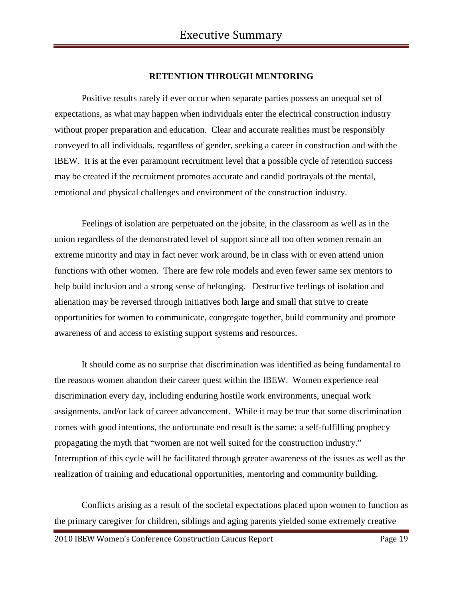## **RETENTION THROUGH MENTORING**

Positive results rarely if ever occur when separate parties possess an unequal set of expectations, as what may happen when individuals enter the electrical construction industry without proper preparation and education. Clear and accurate realities must be responsibly conveyed to all individuals, regardless of gender, seeking a career in construction and with the IBEW. It is at the ever paramount recruitment level that a possible cycle of retention success may be created if the recruitment promotes accurate and candid portrayals of the mental, emotional and physical challenges and environment of the construction industry.

Feelings of isolation are perpetuated on the jobsite, in the classroom as well as in the union regardless of the demonstrated level of support since all too often women remain an extreme minority and may in fact never work around, be in class with or even attend union functions with other women. There are few role models and even fewer same sex mentors to help build inclusion and a strong sense of belonging. Destructive feelings of isolation and alienation may be reversed through initiatives both large and small that strive to create opportunities for women to communicate, congregate together, build community and promote awareness of and access to existing support systems and resources.

It should come as no surprise that discrimination was identified as being fundamental to the reasons women abandon their career quest within the IBEW. Women experience real discrimination every day, including enduring hostile work environments, unequal work assignments, and/or lack of career advancement. While it may be true that some discrimination comes with good intentions, the unfortunate end result is the same; a self-fulfilling prophecy propagating the myth that "women are not well suited for the construction industry." Interruption of this cycle will be facilitated through greater awareness of the issues as well as the realization of training and educational opportunities, mentoring and community building.

Conflicts arising as a result of the societal expectations placed upon women to function as the primary caregiver for children, siblings and aging parents yielded some extremely creative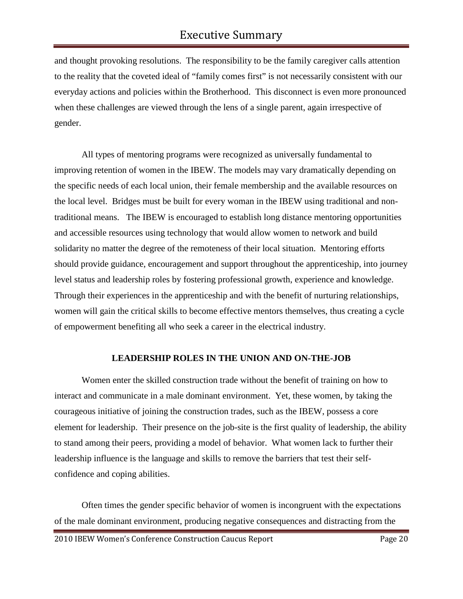and thought provoking resolutions. The responsibility to be the family caregiver calls attention to the reality that the coveted ideal of "family comes first" is not necessarily consistent with our everyday actions and policies within the Brotherhood. This disconnect is even more pronounced when these challenges are viewed through the lens of a single parent, again irrespective of gender.

All types of mentoring programs were recognized as universally fundamental to improving retention of women in the IBEW. The models may vary dramatically depending on the specific needs of each local union, their female membership and the available resources on the local level. Bridges must be built for every woman in the IBEW using traditional and nontraditional means. The IBEW is encouraged to establish long distance mentoring opportunities and accessible resources using technology that would allow women to network and build solidarity no matter the degree of the remoteness of their local situation. Mentoring efforts should provide guidance, encouragement and support throughout the apprenticeship, into journey level status and leadership roles by fostering professional growth, experience and knowledge. Through their experiences in the apprenticeship and with the benefit of nurturing relationships, women will gain the critical skills to become effective mentors themselves, thus creating a cycle of empowerment benefiting all who seek a career in the electrical industry.

# **LEADERSHIP ROLES IN THE UNION AND ON-THE-JOB**

Women enter the skilled construction trade without the benefit of training on how to interact and communicate in a male dominant environment. Yet, these women, by taking the courageous initiative of joining the construction trades, such as the IBEW, possess a core element for leadership. Their presence on the job-site is the first quality of leadership, the ability to stand among their peers, providing a model of behavior. What women lack to further their leadership influence is the language and skills to remove the barriers that test their selfconfidence and coping abilities.

Often times the gender specific behavior of women is incongruent with the expectations of the male dominant environment, producing negative consequences and distracting from the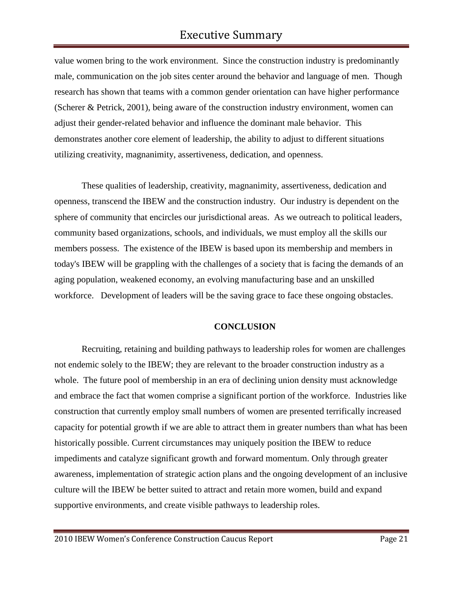value women bring to the work environment. Since the construction industry is predominantly male, communication on the job sites center around the behavior and language of men. Though research has shown that teams with a common gender orientation can have higher performance (Scherer & Petrick, 2001), being aware of the construction industry environment, women can adjust their gender-related behavior and influence the dominant male behavior. This demonstrates another core element of leadership, the ability to adjust to different situations utilizing creativity, magnanimity, assertiveness, dedication, and openness.

These qualities of leadership, creativity, magnanimity, assertiveness, dedication and openness, transcend the IBEW and the construction industry. Our industry is dependent on the sphere of community that encircles our jurisdictional areas. As we outreach to political leaders, community based organizations, schools, and individuals, we must employ all the skills our members possess. The existence of the IBEW is based upon its membership and members in today's IBEW will be grappling with the challenges of a society that is facing the demands of an aging population, weakened economy, an evolving manufacturing base and an unskilled workforce. Development of leaders will be the saving grace to face these ongoing obstacles.

## **CONCLUSION**

Recruiting, retaining and building pathways to leadership roles for women are challenges not endemic solely to the IBEW; they are relevant to the broader construction industry as a whole. The future pool of membership in an era of declining union density must acknowledge and embrace the fact that women comprise a significant portion of the workforce. Industries like construction that currently employ small numbers of women are presented terrifically increased capacity for potential growth if we are able to attract them in greater numbers than what has been historically possible. Current circumstances may uniquely position the IBEW to reduce impediments and catalyze significant growth and forward momentum. Only through greater awareness, implementation of strategic action plans and the ongoing development of an inclusive culture will the IBEW be better suited to attract and retain more women, build and expand supportive environments, and create visible pathways to leadership roles.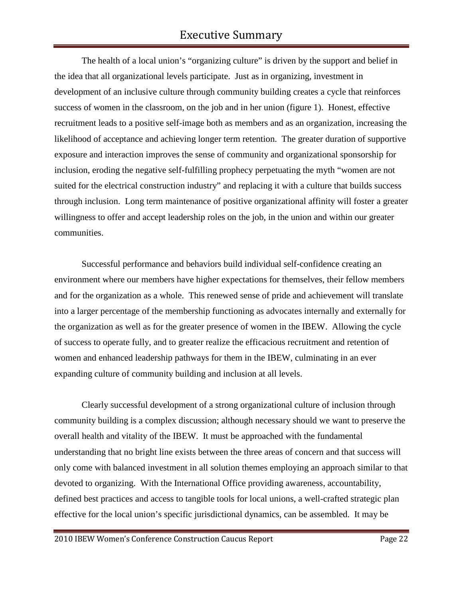The health of a local union's "organizing culture" is driven by the support and belief in the idea that all organizational levels participate. Just as in organizing, investment in development of an inclusive culture through community building creates a cycle that reinforces success of women in the classroom, on the job and in her union (figure 1). Honest, effective recruitment leads to a positive self-image both as members and as an organization, increasing the likelihood of acceptance and achieving longer term retention. The greater duration of supportive exposure and interaction improves the sense of community and organizational sponsorship for inclusion, eroding the negative self-fulfilling prophecy perpetuating the myth "women are not suited for the electrical construction industry" and replacing it with a culture that builds success through inclusion. Long term maintenance of positive organizational affinity will foster a greater willingness to offer and accept leadership roles on the job, in the union and within our greater communities.

Successful performance and behaviors build individual self-confidence creating an environment where our members have higher expectations for themselves, their fellow members and for the organization as a whole. This renewed sense of pride and achievement will translate into a larger percentage of the membership functioning as advocates internally and externally for the organization as well as for the greater presence of women in the IBEW. Allowing the cycle of success to operate fully, and to greater realize the efficacious recruitment and retention of women and enhanced leadership pathways for them in the IBEW, culminating in an ever expanding culture of community building and inclusion at all levels.

Clearly successful development of a strong organizational culture of inclusion through community building is a complex discussion; although necessary should we want to preserve the overall health and vitality of the IBEW. It must be approached with the fundamental understanding that no bright line exists between the three areas of concern and that success will only come with balanced investment in all solution themes employing an approach similar to that devoted to organizing. With the International Office providing awareness, accountability, defined best practices and access to tangible tools for local unions, a well-crafted strategic plan effective for the local union's specific jurisdictional dynamics, can be assembled. It may be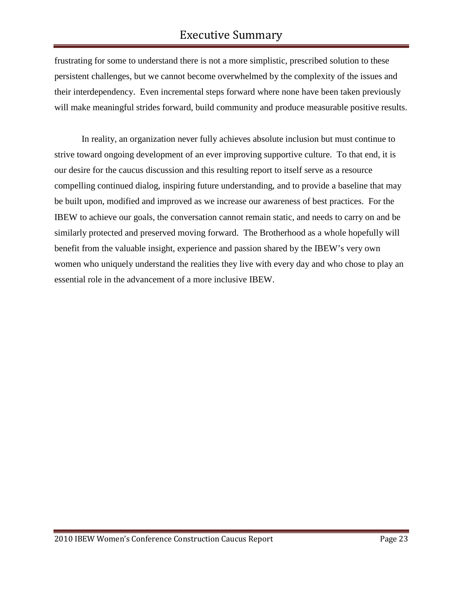frustrating for some to understand there is not a more simplistic, prescribed solution to these persistent challenges, but we cannot become overwhelmed by the complexity of the issues and their interdependency. Even incremental steps forward where none have been taken previously will make meaningful strides forward, build community and produce measurable positive results.

In reality, an organization never fully achieves absolute inclusion but must continue to strive toward ongoing development of an ever improving supportive culture. To that end, it is our desire for the caucus discussion and this resulting report to itself serve as a resource compelling continued dialog, inspiring future understanding, and to provide a baseline that may be built upon, modified and improved as we increase our awareness of best practices. For the IBEW to achieve our goals, the conversation cannot remain static, and needs to carry on and be similarly protected and preserved moving forward. The Brotherhood as a whole hopefully will benefit from the valuable insight, experience and passion shared by the IBEW's very own women who uniquely understand the realities they live with every day and who chose to play an essential role in the advancement of a more inclusive IBEW.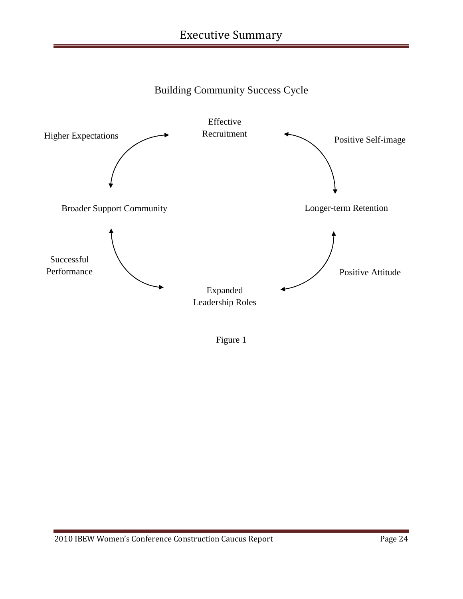



Figure 1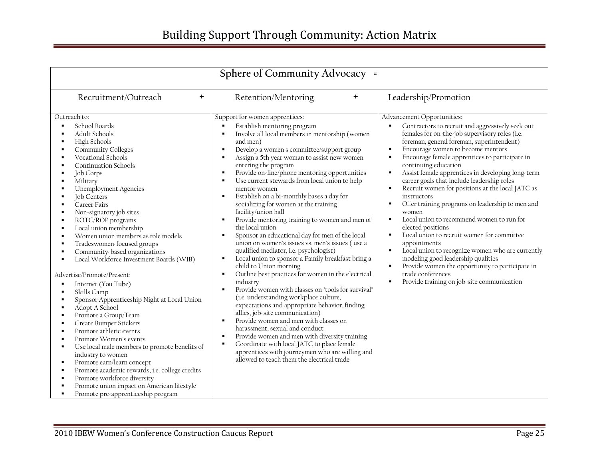| Sphere of Community Advocacy =                                                                                                                                                                                                                                                                                                                                                                                                                                                                                                                                                                                                                                                                                                                                                                                                                                                                                                                                                                                      |                                                                                                                                                                                                                                                                                                                                                                                                                                                                                                                                                                                                                                                                                                                                                                                                                                                                                                                                                                                                                                                                                                                                                                                                                                                                                                                                                                                                                               |                                                                                                                                                                                                                                                                                                                                                                                                                                                                                                                                                                                                                                                                                                                                                                                                                                                                                 |  |  |  |  |  |
|---------------------------------------------------------------------------------------------------------------------------------------------------------------------------------------------------------------------------------------------------------------------------------------------------------------------------------------------------------------------------------------------------------------------------------------------------------------------------------------------------------------------------------------------------------------------------------------------------------------------------------------------------------------------------------------------------------------------------------------------------------------------------------------------------------------------------------------------------------------------------------------------------------------------------------------------------------------------------------------------------------------------|-------------------------------------------------------------------------------------------------------------------------------------------------------------------------------------------------------------------------------------------------------------------------------------------------------------------------------------------------------------------------------------------------------------------------------------------------------------------------------------------------------------------------------------------------------------------------------------------------------------------------------------------------------------------------------------------------------------------------------------------------------------------------------------------------------------------------------------------------------------------------------------------------------------------------------------------------------------------------------------------------------------------------------------------------------------------------------------------------------------------------------------------------------------------------------------------------------------------------------------------------------------------------------------------------------------------------------------------------------------------------------------------------------------------------------|---------------------------------------------------------------------------------------------------------------------------------------------------------------------------------------------------------------------------------------------------------------------------------------------------------------------------------------------------------------------------------------------------------------------------------------------------------------------------------------------------------------------------------------------------------------------------------------------------------------------------------------------------------------------------------------------------------------------------------------------------------------------------------------------------------------------------------------------------------------------------------|--|--|--|--|--|
| Recruitment/Outreach<br>$\ddot{}$<br>Leadership/Promotion<br>Retention/Mentoring<br>$\ddot{}$                                                                                                                                                                                                                                                                                                                                                                                                                                                                                                                                                                                                                                                                                                                                                                                                                                                                                                                       |                                                                                                                                                                                                                                                                                                                                                                                                                                                                                                                                                                                                                                                                                                                                                                                                                                                                                                                                                                                                                                                                                                                                                                                                                                                                                                                                                                                                                               |                                                                                                                                                                                                                                                                                                                                                                                                                                                                                                                                                                                                                                                                                                                                                                                                                                                                                 |  |  |  |  |  |
| Outreach to:<br>School Boards<br>٠<br>Adult Schools<br>٠<br>High Schools<br>Community Colleges<br>Vocational Schools<br><b>Continuation Schools</b><br>Job Corps<br>Military<br><b>Unemployment Agencies</b><br>Job Centers<br>Career Fairs<br>Non-signatory job sites<br>ROTC/ROP programs<br>Local union membership<br>п<br>Women union members as role models<br>Tradeswomen-focused groups<br>٠<br>Community-based organizations<br>Local Workforce Investment Boards (WIB)<br>×<br>Advertise/Promote/Present:<br>Internet (You Tube)<br>Skills Camp<br>Sponsor Apprenticeship Night at Local Union<br>Adopt A School<br>Promote a Group/Team<br>л<br>Create Bumper Stickers<br>Promote athletic events<br>Promote Women's events<br>Use local male members to promote benefits of<br>industry to women<br>Promote earn/learn concept<br>×<br>Promote academic rewards, i.e. college credits<br>Promote workforce diversity<br>Promote union impact on American lifestyle<br>Promote pre-apprenticeship program | Support for women apprentices:<br>Establish mentoring program<br>Involve all local members in mentorship (women<br>and men)<br>Develop a women's committee/support group<br>$\blacksquare$<br>Assign a 5th year woman to assist new women<br>entering the program<br>Provide on-line/phone mentoring opportunities<br>٠<br>Use current stewards from local union to help<br>$\blacksquare$<br>mentor women<br>Establish on a bi-monthly bases a day for<br>٠<br>socializing for women at the training<br>facility/union hall<br>Provide mentoring training to women and men of<br>٠<br>the local union<br>Sponsor an educational day for men of the local<br>union on women's issues vs. men's issues (use a<br>qualified mediator, i.e. psychologist)<br>Local union to sponsor a Family breakfast bring a<br>child to Union morning<br>Outline best practices for women in the electrical<br>$\blacksquare$<br>industry<br>Provide women with classes on "tools for survival"<br>(i.e. understanding workplace culture,<br>expectations and appropriate behavior, finding<br>allies, job-site communication)<br>Provide women and men with classes on<br>$\blacksquare$<br>harassment, sexual and conduct<br>Provide women and men with diversity training<br>$\blacksquare$<br>Coordinate with local JATC to place female<br>apprentices with journeymen who are willing and<br>allowed to teach them the electrical trade | Advancement Opportunities:<br>Contractors to recruit and aggressively seek out<br>females for on-the-job supervisory roles (i.e.<br>foreman, general foreman, superintendent)<br>Encourage women to become mentors<br>Encourage female apprentices to participate in<br>continuing education<br>Assist female apprentices in developing long-term<br>career goals that include leadership roles<br>Recruit women for positions at the local JATC as<br>instructors<br>Offer training programs on leadership to men and<br>women<br>Local union to recommend women to run for<br>elected positions<br>Local union to recruit women for committee<br>appointments<br>Local union to recognize women who are currently<br>modeling good leadership qualities<br>Provide women the opportunity to participate in<br>trade conferences<br>Provide training on job-site communication |  |  |  |  |  |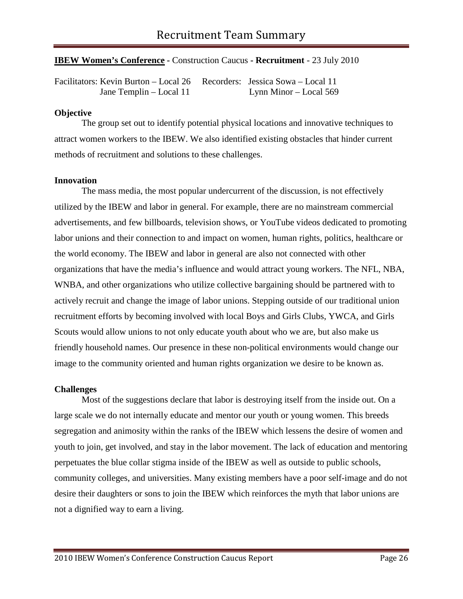# **IBEW Women's Conference -** Construction Caucus **- Recruitment** - 23 July 2010

Facilitators: Kevin Burton – Local 26 Recorders: Jessica Sowa – Local 11 Jane Templin – Local 11 Lynn Minor – Local 569

# **Objective**

The group set out to identify potential physical locations and innovative techniques to attract women workers to the IBEW. We also identified existing obstacles that hinder current methods of recruitment and solutions to these challenges.

#### **Innovation**

The mass media, the most popular undercurrent of the discussion, is not effectively utilized by the IBEW and labor in general. For example, there are no mainstream commercial advertisements, and few billboards, television shows, or YouTube videos dedicated to promoting labor unions and their connection to and impact on women, human rights, politics, healthcare or the world economy. The IBEW and labor in general are also not connected with other organizations that have the media's influence and would attract young workers. The NFL, NBA, WNBA, and other organizations who utilize collective bargaining should be partnered with to actively recruit and change the image of labor unions. Stepping outside of our traditional union recruitment efforts by becoming involved with local Boys and Girls Clubs, YWCA, and Girls Scouts would allow unions to not only educate youth about who we are, but also make us friendly household names. Our presence in these non-political environments would change our image to the community oriented and human rights organization we desire to be known as.

#### **Challenges**

Most of the suggestions declare that labor is destroying itself from the inside out. On a large scale we do not internally educate and mentor our youth or young women. This breeds segregation and animosity within the ranks of the IBEW which lessens the desire of women and youth to join, get involved, and stay in the labor movement. The lack of education and mentoring perpetuates the blue collar stigma inside of the IBEW as well as outside to public schools, community colleges, and universities. Many existing members have a poor self-image and do not desire their daughters or sons to join the IBEW which reinforces the myth that labor unions are not a dignified way to earn a living.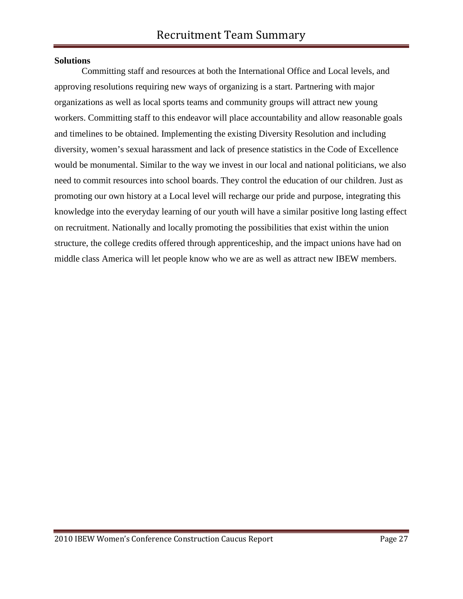## **Solutions**

Committing staff and resources at both the International Office and Local levels, and approving resolutions requiring new ways of organizing is a start. Partnering with major organizations as well as local sports teams and community groups will attract new young workers. Committing staff to this endeavor will place accountability and allow reasonable goals and timelines to be obtained. Implementing the existing Diversity Resolution and including diversity, women's sexual harassment and lack of presence statistics in the Code of Excellence would be monumental. Similar to the way we invest in our local and national politicians, we also need to commit resources into school boards. They control the education of our children. Just as promoting our own history at a Local level will recharge our pride and purpose, integrating this knowledge into the everyday learning of our youth will have a similar positive long lasting effect on recruitment. Nationally and locally promoting the possibilities that exist within the union structure, the college credits offered through apprenticeship, and the impact unions have had on middle class America will let people know who we are as well as attract new IBEW members.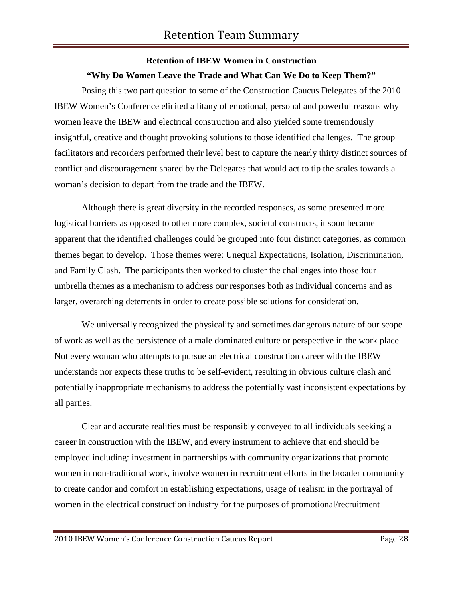# **Retention of IBEW Women in Construction**

# **"Why Do Women Leave the Trade and What Can We Do to Keep Them?"**

Posing this two part question to some of the Construction Caucus Delegates of the 2010 IBEW Women's Conference elicited a litany of emotional, personal and powerful reasons why women leave the IBEW and electrical construction and also yielded some tremendously insightful, creative and thought provoking solutions to those identified challenges. The group facilitators and recorders performed their level best to capture the nearly thirty distinct sources of conflict and discouragement shared by the Delegates that would act to tip the scales towards a woman's decision to depart from the trade and the IBEW.

Although there is great diversity in the recorded responses, as some presented more logistical barriers as opposed to other more complex, societal constructs, it soon became apparent that the identified challenges could be grouped into four distinct categories, as common themes began to develop. Those themes were: Unequal Expectations, Isolation, Discrimination, and Family Clash. The participants then worked to cluster the challenges into those four umbrella themes as a mechanism to address our responses both as individual concerns and as larger, overarching deterrents in order to create possible solutions for consideration.

We universally recognized the physicality and sometimes dangerous nature of our scope of work as well as the persistence of a male dominated culture or perspective in the work place. Not every woman who attempts to pursue an electrical construction career with the IBEW understands nor expects these truths to be self-evident, resulting in obvious culture clash and potentially inappropriate mechanisms to address the potentially vast inconsistent expectations by all parties.

Clear and accurate realities must be responsibly conveyed to all individuals seeking a career in construction with the IBEW, and every instrument to achieve that end should be employed including: investment in partnerships with community organizations that promote women in non-traditional work, involve women in recruitment efforts in the broader community to create candor and comfort in establishing expectations, usage of realism in the portrayal of women in the electrical construction industry for the purposes of promotional/recruitment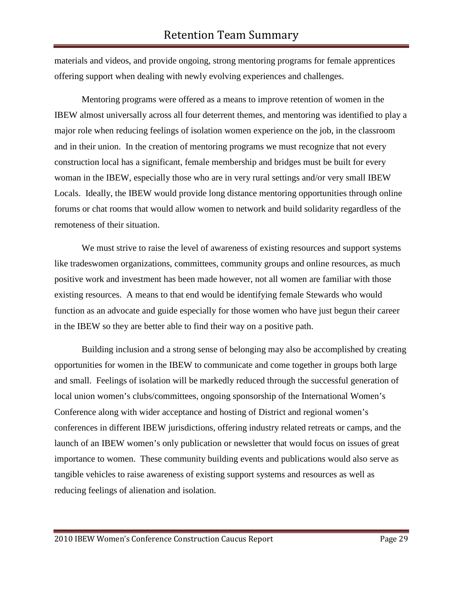materials and videos, and provide ongoing, strong mentoring programs for female apprentices offering support when dealing with newly evolving experiences and challenges.

Mentoring programs were offered as a means to improve retention of women in the IBEW almost universally across all four deterrent themes, and mentoring was identified to play a major role when reducing feelings of isolation women experience on the job, in the classroom and in their union. In the creation of mentoring programs we must recognize that not every construction local has a significant, female membership and bridges must be built for every woman in the IBEW, especially those who are in very rural settings and/or very small IBEW Locals. Ideally, the IBEW would provide long distance mentoring opportunities through online forums or chat rooms that would allow women to network and build solidarity regardless of the remoteness of their situation.

We must strive to raise the level of awareness of existing resources and support systems like tradeswomen organizations, committees, community groups and online resources, as much positive work and investment has been made however, not all women are familiar with those existing resources. A means to that end would be identifying female Stewards who would function as an advocate and guide especially for those women who have just begun their career in the IBEW so they are better able to find their way on a positive path.

Building inclusion and a strong sense of belonging may also be accomplished by creating opportunities for women in the IBEW to communicate and come together in groups both large and small. Feelings of isolation will be markedly reduced through the successful generation of local union women's clubs/committees, ongoing sponsorship of the International Women's Conference along with wider acceptance and hosting of District and regional women's conferences in different IBEW jurisdictions, offering industry related retreats or camps, and the launch of an IBEW women's only publication or newsletter that would focus on issues of great importance to women. These community building events and publications would also serve as tangible vehicles to raise awareness of existing support systems and resources as well as reducing feelings of alienation and isolation.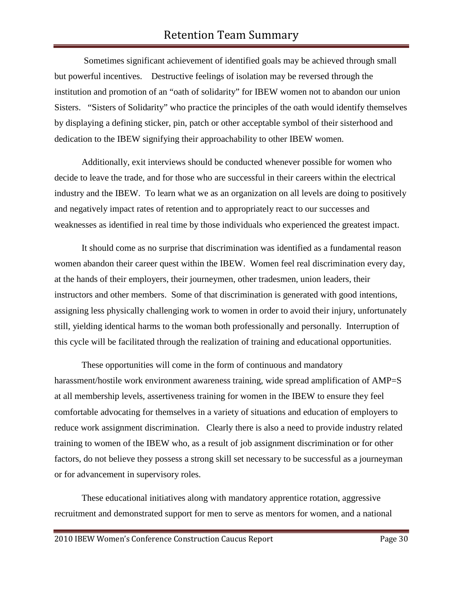# Retention Team Summary

Sometimes significant achievement of identified goals may be achieved through small but powerful incentives. Destructive feelings of isolation may be reversed through the institution and promotion of an "oath of solidarity" for IBEW women not to abandon our union Sisters. "Sisters of Solidarity" who practice the principles of the oath would identify themselves by displaying a defining sticker, pin, patch or other acceptable symbol of their sisterhood and dedication to the IBEW signifying their approachability to other IBEW women.

Additionally, exit interviews should be conducted whenever possible for women who decide to leave the trade, and for those who are successful in their careers within the electrical industry and the IBEW. To learn what we as an organization on all levels are doing to positively and negatively impact rates of retention and to appropriately react to our successes and weaknesses as identified in real time by those individuals who experienced the greatest impact.

It should come as no surprise that discrimination was identified as a fundamental reason women abandon their career quest within the IBEW. Women feel real discrimination every day, at the hands of their employers, their journeymen, other tradesmen, union leaders, their instructors and other members. Some of that discrimination is generated with good intentions, assigning less physically challenging work to women in order to avoid their injury, unfortunately still, yielding identical harms to the woman both professionally and personally. Interruption of this cycle will be facilitated through the realization of training and educational opportunities.

These opportunities will come in the form of continuous and mandatory harassment/hostile work environment awareness training, wide spread amplification of AMP=S at all membership levels, assertiveness training for women in the IBEW to ensure they feel comfortable advocating for themselves in a variety of situations and education of employers to reduce work assignment discrimination. Clearly there is also a need to provide industry related training to women of the IBEW who, as a result of job assignment discrimination or for other factors, do not believe they possess a strong skill set necessary to be successful as a journeyman or for advancement in supervisory roles.

These educational initiatives along with mandatory apprentice rotation, aggressive recruitment and demonstrated support for men to serve as mentors for women, and a national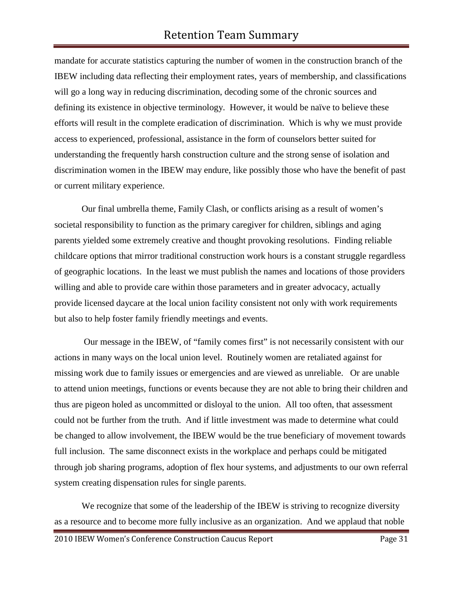mandate for accurate statistics capturing the number of women in the construction branch of the IBEW including data reflecting their employment rates, years of membership, and classifications will go a long way in reducing discrimination, decoding some of the chronic sources and defining its existence in objective terminology. However, it would be naïve to believe these efforts will result in the complete eradication of discrimination. Which is why we must provide access to experienced, professional, assistance in the form of counselors better suited for understanding the frequently harsh construction culture and the strong sense of isolation and discrimination women in the IBEW may endure, like possibly those who have the benefit of past or current military experience.

Our final umbrella theme, Family Clash, or conflicts arising as a result of women's societal responsibility to function as the primary caregiver for children, siblings and aging parents yielded some extremely creative and thought provoking resolutions. Finding reliable childcare options that mirror traditional construction work hours is a constant struggle regardless of geographic locations. In the least we must publish the names and locations of those providers willing and able to provide care within those parameters and in greater advocacy, actually provide licensed daycare at the local union facility consistent not only with work requirements but also to help foster family friendly meetings and events.

Our message in the IBEW, of "family comes first" is not necessarily consistent with our actions in many ways on the local union level. Routinely women are retaliated against for missing work due to family issues or emergencies and are viewed as unreliable. Or are unable to attend union meetings, functions or events because they are not able to bring their children and thus are pigeon holed as uncommitted or disloyal to the union. All too often, that assessment could not be further from the truth. And if little investment was made to determine what could be changed to allow involvement, the IBEW would be the true beneficiary of movement towards full inclusion. The same disconnect exists in the workplace and perhaps could be mitigated through job sharing programs, adoption of flex hour systems, and adjustments to our own referral system creating dispensation rules for single parents.

We recognize that some of the leadership of the IBEW is striving to recognize diversity as a resource and to become more fully inclusive as an organization. And we applaud that noble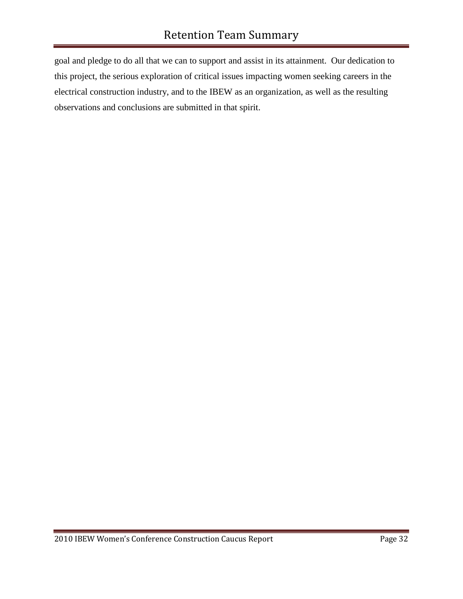goal and pledge to do all that we can to support and assist in its attainment. Our dedication to this project, the serious exploration of critical issues impacting women seeking careers in the electrical construction industry, and to the IBEW as an organization, as well as the resulting observations and conclusions are submitted in that spirit.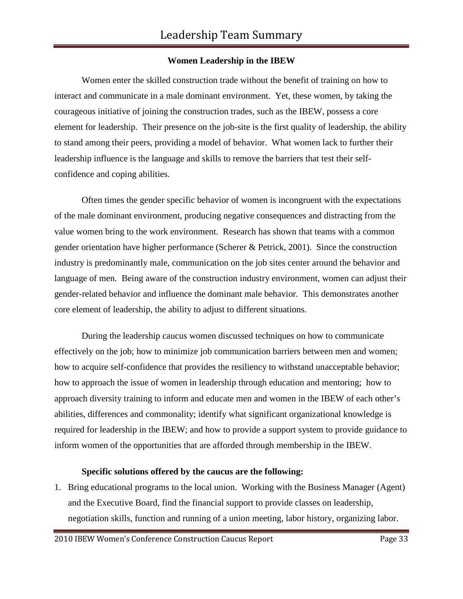# **Women Leadership in the IBEW**

Women enter the skilled construction trade without the benefit of training on how to interact and communicate in a male dominant environment. Yet, these women, by taking the courageous initiative of joining the construction trades, such as the IBEW, possess a core element for leadership. Their presence on the job-site is the first quality of leadership, the ability to stand among their peers, providing a model of behavior. What women lack to further their leadership influence is the language and skills to remove the barriers that test their selfconfidence and coping abilities.

Often times the gender specific behavior of women is incongruent with the expectations of the male dominant environment, producing negative consequences and distracting from the value women bring to the work environment. Research has shown that teams with a common gender orientation have higher performance (Scherer & Petrick, 2001). Since the construction industry is predominantly male, communication on the job sites center around the behavior and language of men. Being aware of the construction industry environment, women can adjust their gender-related behavior and influence the dominant male behavior. This demonstrates another core element of leadership, the ability to adjust to different situations.

During the leadership caucus women discussed techniques on how to communicate effectively on the job; how to minimize job communication barriers between men and women; how to acquire self-confidence that provides the resiliency to withstand unacceptable behavior; how to approach the issue of women in leadership through education and mentoring; how to approach diversity training to inform and educate men and women in the IBEW of each other's abilities, differences and commonality; identify what significant organizational knowledge is required for leadership in the IBEW; and how to provide a support system to provide guidance to inform women of the opportunities that are afforded through membership in the IBEW.

## **Specific solutions offered by the caucus are the following:**

1. Bring educational programs to the local union. Working with the Business Manager (Agent) and the Executive Board, find the financial support to provide classes on leadership, negotiation skills, function and running of a union meeting, labor history, organizing labor.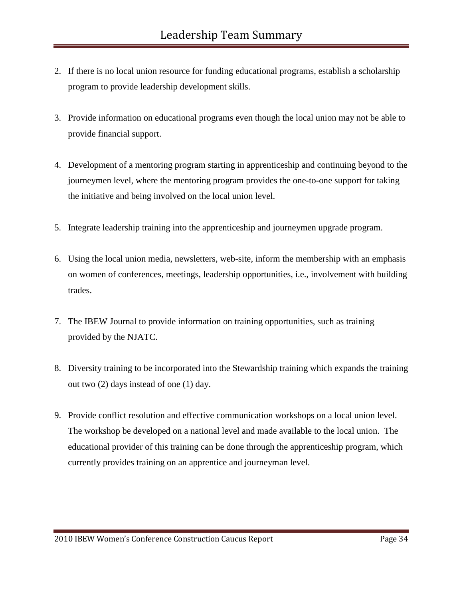- 2. If there is no local union resource for funding educational programs, establish a scholarship program to provide leadership development skills.
- 3. Provide information on educational programs even though the local union may not be able to provide financial support.
- 4. Development of a mentoring program starting in apprenticeship and continuing beyond to the journeymen level, where the mentoring program provides the one-to-one support for taking the initiative and being involved on the local union level.
- 5. Integrate leadership training into the apprenticeship and journeymen upgrade program.
- 6. Using the local union media, newsletters, web-site, inform the membership with an emphasis on women of conferences, meetings, leadership opportunities, i.e., involvement with building trades.
- 7. The IBEW Journal to provide information on training opportunities, such as training provided by the NJATC.
- 8. Diversity training to be incorporated into the Stewardship training which expands the training out two (2) days instead of one (1) day.
- 9. Provide conflict resolution and effective communication workshops on a local union level. The workshop be developed on a national level and made available to the local union. The educational provider of this training can be done through the apprenticeship program, which currently provides training on an apprentice and journeyman level.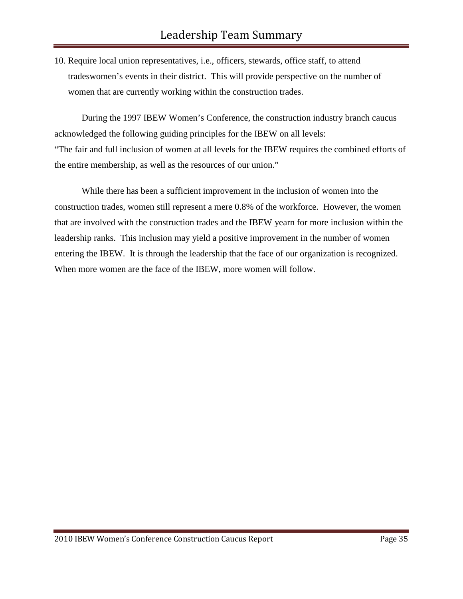10. Require local union representatives, i.e., officers, stewards, office staff, to attend tradeswomen's events in their district. This will provide perspective on the number of women that are currently working within the construction trades.

During the 1997 IBEW Women's Conference, the construction industry branch caucus acknowledged the following guiding principles for the IBEW on all levels: "The fair and full inclusion of women at all levels for the IBEW requires the combined efforts of the entire membership, as well as the resources of our union."

While there has been a sufficient improvement in the inclusion of women into the construction trades, women still represent a mere 0.8% of the workforce. However, the women that are involved with the construction trades and the IBEW yearn for more inclusion within the leadership ranks. This inclusion may yield a positive improvement in the number of women entering the IBEW. It is through the leadership that the face of our organization is recognized. When more women are the face of the IBEW, more women will follow.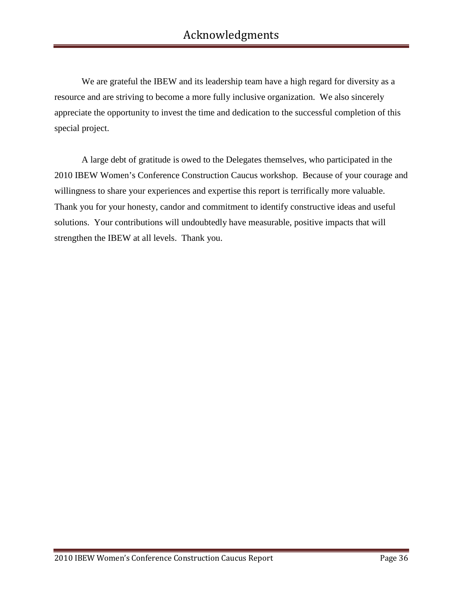We are grateful the IBEW and its leadership team have a high regard for diversity as a resource and are striving to become a more fully inclusive organization. We also sincerely appreciate the opportunity to invest the time and dedication to the successful completion of this special project.

A large debt of gratitude is owed to the Delegates themselves, who participated in the 2010 IBEW Women's Conference Construction Caucus workshop. Because of your courage and willingness to share your experiences and expertise this report is terrifically more valuable. Thank you for your honesty, candor and commitment to identify constructive ideas and useful solutions. Your contributions will undoubtedly have measurable, positive impacts that will strengthen the IBEW at all levels. Thank you.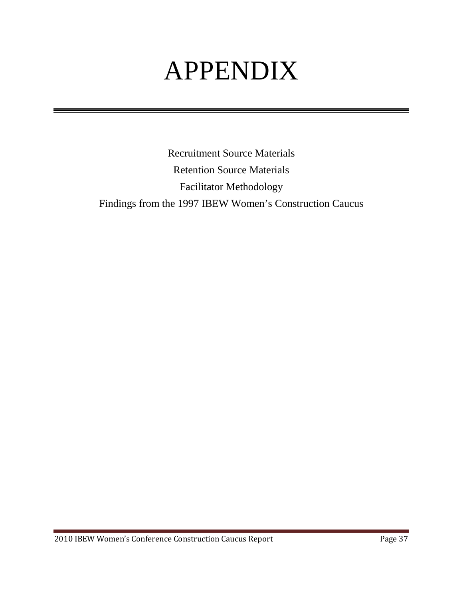# APPENDIX

Recruitment Source Materials Retention Source Materials Facilitator Methodology Findings from the 1997 IBEW Women's Construction Caucus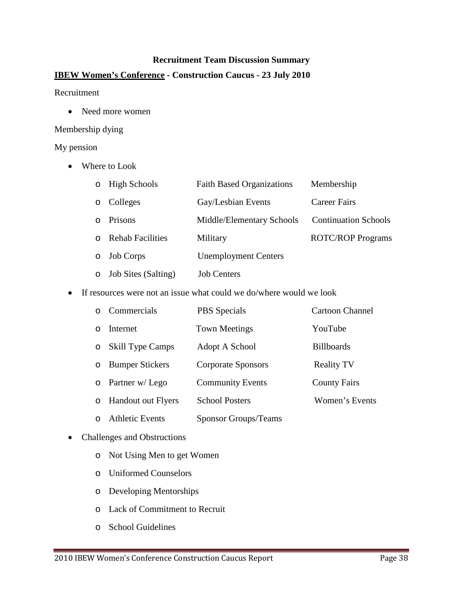## **Recruitment Team Discussion Summary**

# **IBEW Women's Conference - Construction Caucus - 23 July 2010**

## Recruitment

• Need more women

## Membership dying

# My pension

• Where to Look

| $\circ$  | <b>High Schools</b>        | <b>Faith Based Organizations</b> | Membership                  |
|----------|----------------------------|----------------------------------|-----------------------------|
| $\circ$  | Colleges                   | Gay/Lesbian Events               | Career Fairs                |
| $\Omega$ | Prisons                    | Middle/Elementary Schools        | <b>Continuation Schools</b> |
| $\Omega$ | <b>Rehab Facilities</b>    | Military                         | <b>ROTC/ROP Programs</b>    |
| $\circ$  | <b>Job Corps</b>           | <b>Unemployment Centers</b>      |                             |
| $\circ$  | <b>Job Sites (Salting)</b> | <b>Job Centers</b>               |                             |

• If resources were not an issue what could we do/where would we look

| o Commercials           | <b>PBS</b> Specials         | <b>Cartoon Channel</b> |
|-------------------------|-----------------------------|------------------------|
| o Internet              | <b>Town Meetings</b>        | YouTube                |
| o Skill Type Camps      | Adopt A School              | <b>Billboards</b>      |
| o Bumper Stickers       | <b>Corporate Sponsors</b>   | <b>Reality TV</b>      |
| $\circ$ Partner w/ Lego | <b>Community Events</b>     | <b>County Fairs</b>    |
| o Handout out Flyers    | <b>School Posters</b>       | Women's Events         |
| o Athletic Events       | <b>Sponsor Groups/Teams</b> |                        |

# • Challenges and Obstructions

- o Not Using Men to get Women
- o Uniformed Counselors
- o Developing Mentorships
- o Lack of Commitment to Recruit
- o School Guidelines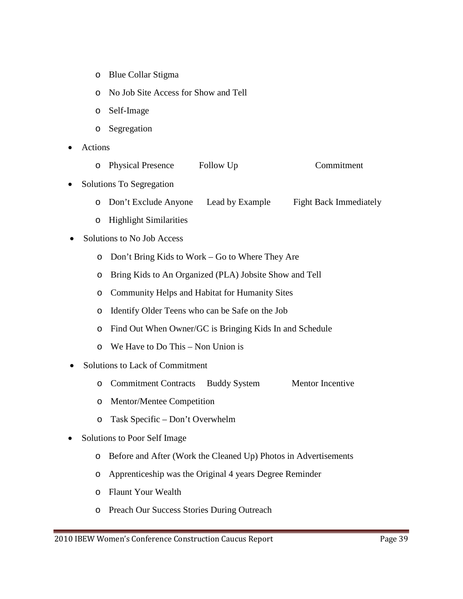- o Blue Collar Stigma
- o No Job Site Access for Show and Tell
- o Self-Image
- o Segregation
- Actions
	- o Physical Presence Follow Up Commitment
- Solutions To Segregation
	- o Don't Exclude Anyone Lead by Example Fight Back Immediately
	- o Highlight Similarities
- Solutions to No Job Access
	- o Don't Bring Kids to Work Go to Where They Are
	- o Bring Kids to An Organized (PLA) Jobsite Show and Tell
	- o Community Helps and Habitat for Humanity Sites
	- o Identify Older Teens who can be Safe on the Job
	- o Find Out When Owner/GC is Bringing Kids In and Schedule
	- o We Have to Do This Non Union is
- Solutions to Lack of Commitment
	- o Commitment Contracts Buddy System Mentor Incentive
	- o Mentor/Mentee Competition
	- o Task Specific Don't Overwhelm
- Solutions to Poor Self Image
	- o Before and After (Work the Cleaned Up) Photos in Advertisements
	- o Apprenticeship was the Original 4 years Degree Reminder
	- o Flaunt Your Wealth
	- o Preach Our Success Stories During Outreach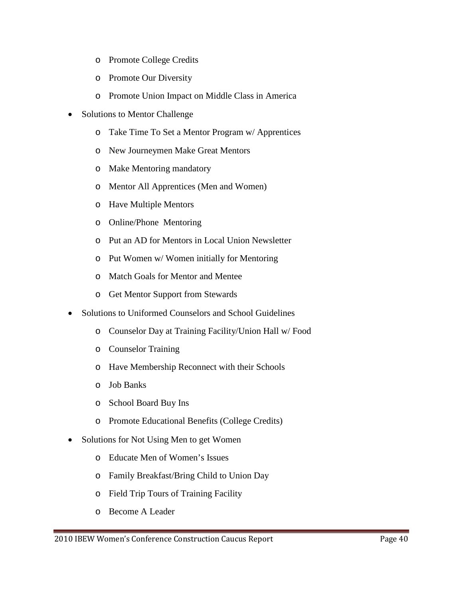- o Promote College Credits
- o Promote Our Diversity
- o Promote Union Impact on Middle Class in America
- Solutions to Mentor Challenge
	- o Take Time To Set a Mentor Program w/ Apprentices
	- o New Journeymen Make Great Mentors
	- o Make Mentoring mandatory
	- o Mentor All Apprentices (Men and Women)
	- o Have Multiple Mentors
	- o Online/Phone Mentoring
	- o Put an AD for Mentors in Local Union Newsletter
	- o Put Women w/ Women initially for Mentoring
	- o Match Goals for Mentor and Mentee
	- o Get Mentor Support from Stewards
- Solutions to Uniformed Counselors and School Guidelines
	- o Counselor Day at Training Facility/Union Hall w/ Food
	- o Counselor Training
	- o Have Membership Reconnect with their Schools
	- o Job Banks
	- o School Board Buy Ins
	- o Promote Educational Benefits (College Credits)
- Solutions for Not Using Men to get Women
	- o Educate Men of Women's Issues
	- o Family Breakfast/Bring Child to Union Day
	- o Field Trip Tours of Training Facility
	- o Become A Leader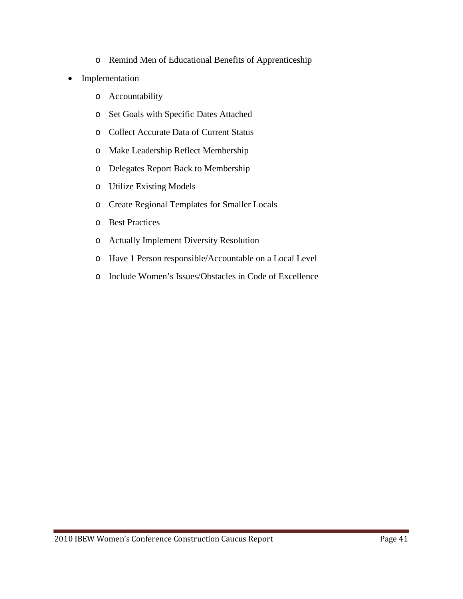- o Remind Men of Educational Benefits of Apprenticeship
- Implementation
	- o Accountability
	- o Set Goals with Specific Dates Attached
	- o Collect Accurate Data of Current Status
	- o Make Leadership Reflect Membership
	- o Delegates Report Back to Membership
	- o Utilize Existing Models
	- o Create Regional Templates for Smaller Locals
	- o Best Practices
	- o Actually Implement Diversity Resolution
	- o Have 1 Person responsible/Accountable on a Local Level
	- o Include Women's Issues/Obstacles in Code of Excellence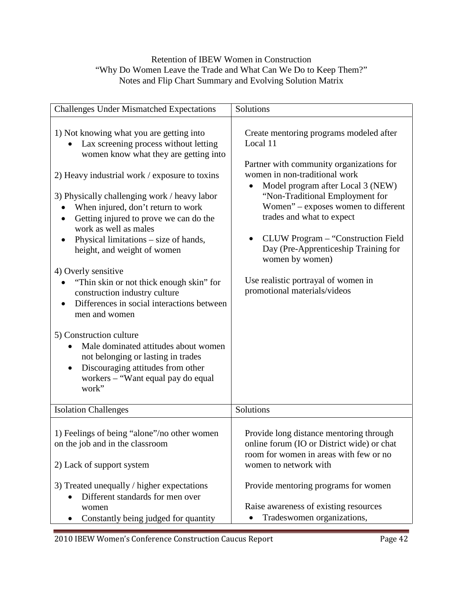# Retention of IBEW Women in Construction "Why Do Women Leave the Trade and What Can We Do to Keep Them?" Notes and Flip Chart Summary and Evolving Solution Matrix

| <b>Challenges Under Mismatched Expectations</b>                                                                                                                                                                                                                                                                                                                                                                                                                                                                                                                                                                                                                                                                                                                                           | Solutions                                                                                                                                                                                                                                                                                                                                                                                                                                                         |
|-------------------------------------------------------------------------------------------------------------------------------------------------------------------------------------------------------------------------------------------------------------------------------------------------------------------------------------------------------------------------------------------------------------------------------------------------------------------------------------------------------------------------------------------------------------------------------------------------------------------------------------------------------------------------------------------------------------------------------------------------------------------------------------------|-------------------------------------------------------------------------------------------------------------------------------------------------------------------------------------------------------------------------------------------------------------------------------------------------------------------------------------------------------------------------------------------------------------------------------------------------------------------|
| 1) Not knowing what you are getting into<br>Lax screening process without letting<br>women know what they are getting into<br>2) Heavy industrial work / exposure to toxins<br>3) Physically challenging work / heavy labor<br>When injured, don't return to work<br>Getting injured to prove we can do the<br>work as well as males<br>Physical limitations – size of hands,<br>height, and weight of women<br>4) Overly sensitive<br>"Thin skin or not thick enough skin" for<br>construction industry culture<br>Differences in social interactions between<br>men and women<br>5) Construction culture<br>Male dominated attitudes about women<br>not belonging or lasting in trades<br>Discouraging attitudes from other<br>$\bullet$<br>workers - "Want equal pay do equal<br>work" | Create mentoring programs modeled after<br>Local 11<br>Partner with community organizations for<br>women in non-traditional work<br>Model program after Local 3 (NEW)<br>$\bullet$<br>"Non-Traditional Employment for<br>Women" - exposes women to different<br>trades and what to expect<br>CLUW Program - "Construction Field<br>Day (Pre-Apprenticeship Training for<br>women by women)<br>Use realistic portrayal of women in<br>promotional materials/videos |
| <b>Isolation Challenges</b>                                                                                                                                                                                                                                                                                                                                                                                                                                                                                                                                                                                                                                                                                                                                                               | Solutions                                                                                                                                                                                                                                                                                                                                                                                                                                                         |
| 1) Feelings of being "alone"/no other women<br>on the job and in the classroom<br>2) Lack of support system                                                                                                                                                                                                                                                                                                                                                                                                                                                                                                                                                                                                                                                                               | Provide long distance mentoring through<br>online forum (IO or District wide) or chat<br>room for women in areas with few or no<br>women to network with                                                                                                                                                                                                                                                                                                          |
| 3) Treated unequally / higher expectations<br>Different standards for men over<br>women<br>Constantly being judged for quantity                                                                                                                                                                                                                                                                                                                                                                                                                                                                                                                                                                                                                                                           | Provide mentoring programs for women<br>Raise awareness of existing resources<br>Tradeswomen organizations,                                                                                                                                                                                                                                                                                                                                                       |
|                                                                                                                                                                                                                                                                                                                                                                                                                                                                                                                                                                                                                                                                                                                                                                                           |                                                                                                                                                                                                                                                                                                                                                                                                                                                                   |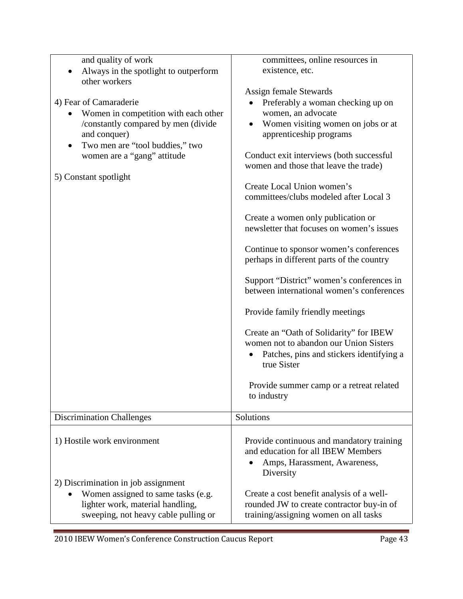| and quality of work<br>Always in the spotlight to outperform<br>$\bullet$<br>other workers<br>4) Fear of Camaraderie<br>Women in competition with each other<br>/constantly compared by men (divide<br>and conquer)<br>Two men are "tool buddies," two<br>women are a "gang" attitude<br>5) Constant spotlight | committees, online resources in<br>existence, etc.<br>Assign female Stewards<br>Preferably a woman checking up on<br>women, an advocate<br>Women visiting women on jobs or at<br>apprenticeship programs<br>Conduct exit interviews (both successful<br>women and those that leave the trade)<br>Create Local Union women's<br>committees/clubs modeled after Local 3<br>Create a women only publication or<br>newsletter that focuses on women's issues<br>Continue to sponsor women's conferences<br>perhaps in different parts of the country<br>Support "District" women's conferences in<br>between international women's conferences<br>Provide family friendly meetings<br>Create an "Oath of Solidarity" for IBEW<br>women not to abandon our Union Sisters<br>Patches, pins and stickers identifying a<br>true Sister<br>Provide summer camp or a retreat related<br>to industry |
|----------------------------------------------------------------------------------------------------------------------------------------------------------------------------------------------------------------------------------------------------------------------------------------------------------------|-------------------------------------------------------------------------------------------------------------------------------------------------------------------------------------------------------------------------------------------------------------------------------------------------------------------------------------------------------------------------------------------------------------------------------------------------------------------------------------------------------------------------------------------------------------------------------------------------------------------------------------------------------------------------------------------------------------------------------------------------------------------------------------------------------------------------------------------------------------------------------------------|
| <b>Discrimination Challenges</b>                                                                                                                                                                                                                                                                               | Solutions                                                                                                                                                                                                                                                                                                                                                                                                                                                                                                                                                                                                                                                                                                                                                                                                                                                                                 |
|                                                                                                                                                                                                                                                                                                                |                                                                                                                                                                                                                                                                                                                                                                                                                                                                                                                                                                                                                                                                                                                                                                                                                                                                                           |
| 1) Hostile work environment                                                                                                                                                                                                                                                                                    | Provide continuous and mandatory training<br>and education for all IBEW Members<br>Amps, Harassment, Awareness,<br>Diversity                                                                                                                                                                                                                                                                                                                                                                                                                                                                                                                                                                                                                                                                                                                                                              |
| 2) Discrimination in job assignment<br>Women assigned to same tasks (e.g.<br>lighter work, material handling,<br>sweeping, not heavy cable pulling or                                                                                                                                                          | Create a cost benefit analysis of a well-<br>rounded JW to create contractor buy-in of<br>training/assigning women on all tasks                                                                                                                                                                                                                                                                                                                                                                                                                                                                                                                                                                                                                                                                                                                                                           |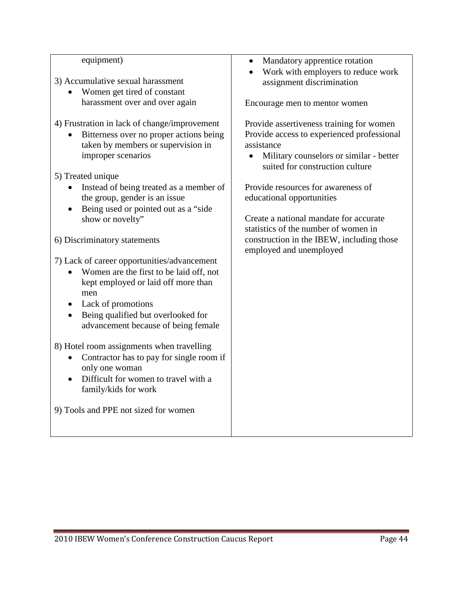| equipment)                                   | Mandatory apprentice rotation                                              |
|----------------------------------------------|----------------------------------------------------------------------------|
|                                              | Work with employers to reduce work                                         |
| 3) Accumulative sexual harassment            | assignment discrimination                                                  |
| Women get tired of constant                  |                                                                            |
| harassment over and over again               | Encourage men to mentor women                                              |
| 4) Frustration in lack of change/improvement | Provide assertiveness training for women                                   |
| Bitterness over no proper actions being      | Provide access to experienced professional                                 |
| taken by members or supervision in           | assistance                                                                 |
| improper scenarios                           | Military counselors or similar - better<br>suited for construction culture |
| 5) Treated unique                            |                                                                            |
| Instead of being treated as a member of      | Provide resources for awareness of                                         |
| the group, gender is an issue                | educational opportunities                                                  |
| Being used or pointed out as a "side"        |                                                                            |
| show or novelty"                             | Create a national mandate for accurate                                     |
|                                              | statistics of the number of women in                                       |
| 6) Discriminatory statements                 | construction in the IBEW, including those<br>employed and unemployed       |
| 7) Lack of career opportunities/advancement  |                                                                            |
| Women are the first to be laid off, not      |                                                                            |
| kept employed or laid off more than<br>men   |                                                                            |
| Lack of promotions                           |                                                                            |
| Being qualified but overlooked for           |                                                                            |
| advancement because of being female          |                                                                            |
|                                              |                                                                            |
| 8) Hotel room assignments when travelling    |                                                                            |
| Contractor has to pay for single room if     |                                                                            |
| only one woman                               |                                                                            |
| Difficult for women to travel with a         |                                                                            |
| family/kids for work                         |                                                                            |
| 9) Tools and PPE not sized for women         |                                                                            |
|                                              |                                                                            |
|                                              |                                                                            |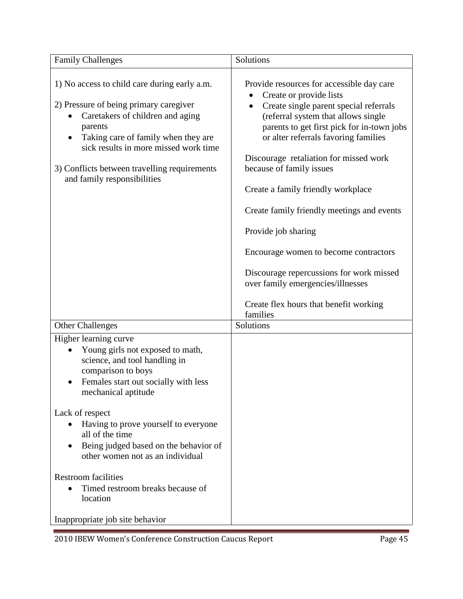| <b>Family Challenges</b>                                                                                                                                                                                                                                                                                                                                                                                                                                                               | Solutions                                                                                                                                                                                                                                                                                                                                                                                                                                                                                                                                                                                                                 |
|----------------------------------------------------------------------------------------------------------------------------------------------------------------------------------------------------------------------------------------------------------------------------------------------------------------------------------------------------------------------------------------------------------------------------------------------------------------------------------------|---------------------------------------------------------------------------------------------------------------------------------------------------------------------------------------------------------------------------------------------------------------------------------------------------------------------------------------------------------------------------------------------------------------------------------------------------------------------------------------------------------------------------------------------------------------------------------------------------------------------------|
| 1) No access to child care during early a.m.<br>2) Pressure of being primary caregiver<br>Caretakers of children and aging<br>parents<br>Taking care of family when they are<br>sick results in more missed work time<br>3) Conflicts between travelling requirements<br>and family responsibilities                                                                                                                                                                                   | Provide resources for accessible day care<br>Create or provide lists<br>Create single parent special referrals<br>$\bullet$<br>(referral system that allows single<br>parents to get first pick for in-town jobs<br>or alter referrals favoring families<br>Discourage retaliation for missed work<br>because of family issues<br>Create a family friendly workplace<br>Create family friendly meetings and events<br>Provide job sharing<br>Encourage women to become contractors<br>Discourage repercussions for work missed<br>over family emergencies/illnesses<br>Create flex hours that benefit working<br>families |
| <b>Other Challenges</b><br>Higher learning curve<br>Young girls not exposed to math,<br>science, and tool handling in<br>comparison to boys<br>Females start out socially with less<br>mechanical aptitude<br>Lack of respect<br>Having to prove yourself to everyone<br>all of the time<br>Being judged based on the behavior of<br>other women not as an individual<br><b>Restroom facilities</b><br>Timed restroom breaks because of<br>location<br>Inappropriate job site behavior | Solutions                                                                                                                                                                                                                                                                                                                                                                                                                                                                                                                                                                                                                 |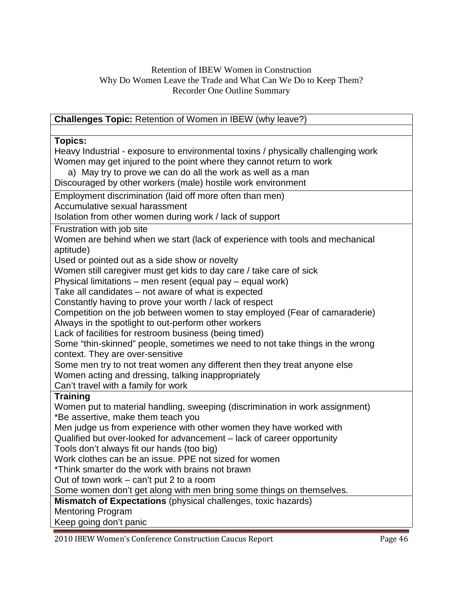# Retention of IBEW Women in Construction Why Do Women Leave the Trade and What Can We Do to Keep Them? Recorder One Outline Summary

| <b>Challenges Topic: Retention of Women in IBEW (why leave?)</b>                  |  |  |
|-----------------------------------------------------------------------------------|--|--|
|                                                                                   |  |  |
| <b>Topics:</b>                                                                    |  |  |
| Heavy Industrial - exposure to environmental toxins / physically challenging work |  |  |
| Women may get injured to the point where they cannot return to work               |  |  |
| a) May try to prove we can do all the work as well as a man                       |  |  |
| Discouraged by other workers (male) hostile work environment                      |  |  |
| Employment discrimination (laid off more often than men)                          |  |  |
| Accumulative sexual harassment                                                    |  |  |
| Isolation from other women during work / lack of support                          |  |  |
| Frustration with job site                                                         |  |  |
| Women are behind when we start (lack of experience with tools and mechanical      |  |  |
| aptitude)                                                                         |  |  |
| Used or pointed out as a side show or novelty                                     |  |  |
| Women still caregiver must get kids to day care / take care of sick               |  |  |
| Physical limitations - men resent (equal pay - equal work)                        |  |  |
| Take all candidates - not aware of what is expected                               |  |  |
| Constantly having to prove your worth / lack of respect                           |  |  |
| Competition on the job between women to stay employed (Fear of camaraderie)       |  |  |
| Always in the spotlight to out-perform other workers                              |  |  |
| Lack of facilities for restroom business (being timed)                            |  |  |
| Some "thin-skinned" people, sometimes we need to not take things in the wrong     |  |  |
| context. They are over-sensitive                                                  |  |  |
| Some men try to not treat women any different then they treat anyone else         |  |  |
| Women acting and dressing, talking inappropriately                                |  |  |
| Can't travel with a family for work                                               |  |  |
| <b>Training</b>                                                                   |  |  |
| Women put to material handling, sweeping (discrimination in work assignment)      |  |  |
| *Be assertive, make them teach you                                                |  |  |
| Men judge us from experience with other women they have worked with               |  |  |
| Qualified but over-looked for advancement - lack of career opportunity            |  |  |
| Tools don't always fit our hands (too big)                                        |  |  |
| Work clothes can be an issue. PPE not sized for women                             |  |  |
| *Think smarter do the work with brains not brawn                                  |  |  |
| Out of town work – can't put 2 to a room                                          |  |  |
| Some women don't get along with men bring some things on themselves.              |  |  |
| Mismatch of Expectations (physical challenges, toxic hazards)                     |  |  |
| <b>Mentoring Program</b>                                                          |  |  |
| Keep going don't panic                                                            |  |  |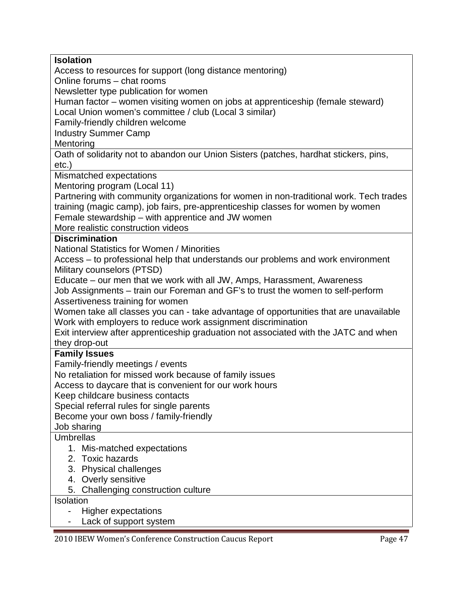| <b>Isolation</b>                                                                       |
|----------------------------------------------------------------------------------------|
| Access to resources for support (long distance mentoring)                              |
| Online forums - chat rooms                                                             |
| Newsletter type publication for women                                                  |
| Human factor – women visiting women on jobs at apprenticeship (female steward)         |
| Local Union women's committee / club (Local 3 similar)                                 |
| Family-friendly children welcome                                                       |
|                                                                                        |
| <b>Industry Summer Camp</b>                                                            |
| Mentoring                                                                              |
| Oath of solidarity not to abandon our Union Sisters (patches, hardhat stickers, pins,  |
| $etc.$ )                                                                               |
| Mismatched expectations                                                                |
| Mentoring program (Local 11)                                                           |
| Partnering with community organizations for women in non-traditional work. Tech trades |
| training (magic camp), job fairs, pre-apprenticeship classes for women by women        |
| Female stewardship – with apprentice and JW women                                      |
| More realistic construction videos                                                     |
|                                                                                        |
| <b>Discrimination</b>                                                                  |
| <b>National Statistics for Women / Minorities</b>                                      |
| Access – to professional help that understands our problems and work environment       |
| Military counselors (PTSD)                                                             |
| Educate – our men that we work with all JW, Amps, Harassment, Awareness                |
| Job Assignments - train our Foreman and GF's to trust the women to self-perform        |
| Assertiveness training for women                                                       |
| Women take all classes you can - take advantage of opportunities that are unavailable  |
| Work with employers to reduce work assignment discrimination                           |
| Exit interview after apprenticeship graduation not associated with the JATC and when   |
| they drop-out                                                                          |
| <b>Family Issues</b>                                                                   |
|                                                                                        |
| Family-friendly meetings / events                                                      |
| No retaliation for missed work because of family issues                                |
| Access to daycare that is convenient for our work hours                                |
| Keep childcare business contacts                                                       |
| Special referral rules for single parents                                              |
| Become your own boss / family-friendly                                                 |
| Job sharing                                                                            |
| <b>Umbrellas</b>                                                                       |
| 1. Mis-matched expectations                                                            |
| 2. Toxic hazards                                                                       |
| 3. Physical challenges                                                                 |
| 4. Overly sensitive                                                                    |
|                                                                                        |
| 5. Challenging construction culture                                                    |
| Isolation                                                                              |
| <b>Higher expectations</b>                                                             |
| Lack of support system                                                                 |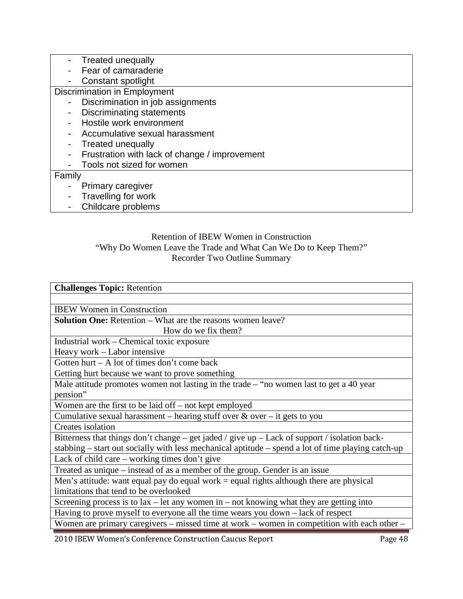| Treated unequally                             |  |  |
|-----------------------------------------------|--|--|
| Fear of camaraderie                           |  |  |
| Constant spotlight                            |  |  |
| Discrimination in Employment                  |  |  |
| Discrimination in job assignments             |  |  |
| <b>Discriminating statements</b>              |  |  |
| Hostile work environment                      |  |  |
| Accumulative sexual harassment                |  |  |
| <b>Treated unequally</b>                      |  |  |
| Frustration with lack of change / improvement |  |  |
| Tools not sized for women                     |  |  |
| Family                                        |  |  |
| Primary caregiver                             |  |  |
| Travelling for work                           |  |  |
| Childcare problems                            |  |  |

# Retention of IBEW Women in Construction "Why Do Women Leave the Trade and What Can We Do to Keep Them?" Recorder Two Outline Summary

| <b>Challenges Topic: Retention</b>                                                                 |  |  |
|----------------------------------------------------------------------------------------------------|--|--|
|                                                                                                    |  |  |
| <b>IBEW Women in Construction</b>                                                                  |  |  |
| <b>Solution One:</b> Retention – What are the reasons women leave?                                 |  |  |
| How do we fix them?                                                                                |  |  |
| Industrial work – Chemical toxic exposure                                                          |  |  |
| Heavy work - Labor intensive                                                                       |  |  |
| Gotten hurt $- A$ lot of times don't come back                                                     |  |  |
| Getting hurt because we want to prove something                                                    |  |  |
| Male attitude promotes women not lasting in the trade $-$ "no women last to get a 40 year          |  |  |
| pension"                                                                                           |  |  |
| Women are the first to be laid off – not kept employed                                             |  |  |
| Cumulative sexual harassment – hearing stuff over $\&$ over – it gets to you                       |  |  |
| Creates isolation                                                                                  |  |  |
| Bitterness that things don't change – get jaded / give up – Lack of support / isolation back-      |  |  |
| stabbing – start out socially with less mechanical aptitude – spend a lot of time playing catch-up |  |  |
| Lack of child care $-$ working times don't give                                                    |  |  |
| Treated as unique – instead of as a member of the group. Gender is an issue                        |  |  |
| Men's attitude: want equal pay do equal work $=$ equal rights although there are physical          |  |  |
| limitations that tend to be overlooked                                                             |  |  |
| Screening process is to $lax$ – let any women in – not knowing what they are getting into          |  |  |
| Having to prove myself to everyone all the time wears you down - lack of respect                   |  |  |
| Women are primary caregivers – missed time at work – women in competition with each other –        |  |  |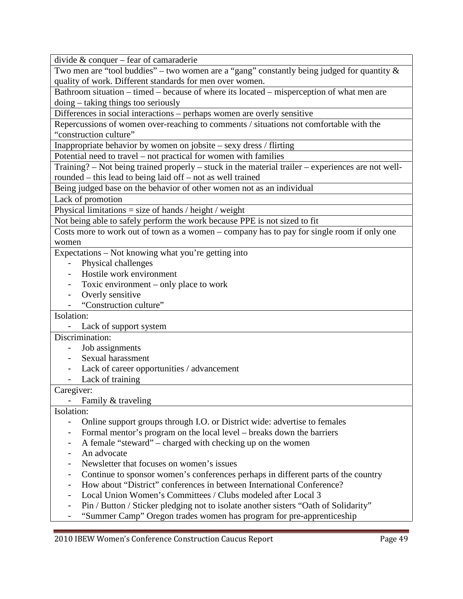divide & conquer – fear of camaraderie

Two men are "tool buddies" – two women are a "gang" constantly being judged for quantity  $\&$ quality of work. Different standards for men over women.

Bathroom situation – timed – because of where its located – misperception of what men are doing – taking things too seriously

Differences in social interactions – perhaps women are overly sensitive

Repercussions of women over-reaching to comments / situations not comfortable with the "construction culture"

Inappropriate behavior by women on jobsite – sexy dress / flirting

Potential need to travel – not practical for women with families

Training? – Not being trained properly – stuck in the material trailer – experiences are not wellrounded – this lead to being laid off – not as well trained

Being judged base on the behavior of other women not as an individual

Lack of promotion

Physical limitations  $=$  size of hands  $/$  height  $/$  weight

Not being able to safely perform the work because PPE is not sized to fit

Costs more to work out of town as a women – company has to pay for single room if only one women

Expectations – Not knowing what you're getting into

- Physical challenges
- Hostile work environment
- Toxic environment only place to work
- Overly sensitive
- "Construction culture"

## Isolation:

- Lack of support system

# Discrimination:

- Job assignments
- Sexual harassment
- Lack of career opportunities / advancement
- Lack of training

# Caregiver:

- Family & traveling

Isolation:

- Online support groups through I.O. or District wide: advertise to females
- Formal mentor's program on the local level breaks down the barriers
- A female "steward" charged with checking up on the women
- An advocate
- Newsletter that focuses on women's issues
- Continue to sponsor women's conferences perhaps in different parts of the country
- How about "District" conferences in between International Conference?
- Local Union Women's Committees / Clubs modeled after Local 3
- Pin / Button / Sticker pledging not to isolate another sisters "Oath of Solidarity"
- "Summer Camp" Oregon trades women has program for pre-apprenticeship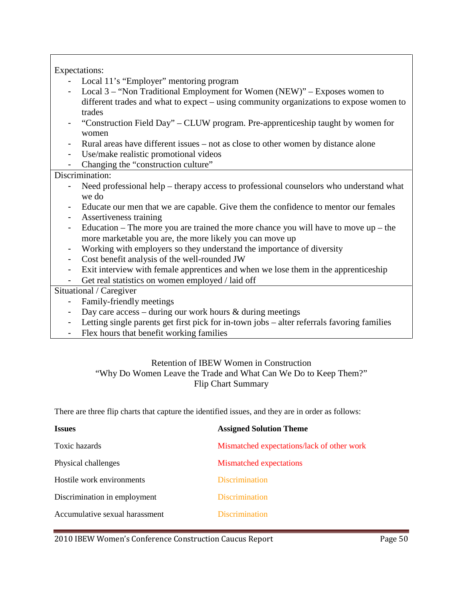# Expectations:

- Local 11's "Employer" mentoring program
- Local  $3 -$  "Non Traditional Employment for Women (NEW)" Exposes women to different trades and what to expect – using community organizations to expose women to trades
- "Construction Field Day" CLUW program. Pre-apprenticeship taught by women for women
- Rural areas have different issues not as close to other women by distance alone
- Use/make realistic promotional videos
- Changing the "construction culture"

# Discrimination:

- Need professional help therapy access to professional counselors who understand what we do
- Educate our men that we are capable. Give them the confidence to mentor our females
- Assertiveness training
- Education The more you are trained the more chance you will have to move up the more marketable you are, the more likely you can move up
- Working with employers so they understand the importance of diversity
- Cost benefit analysis of the well-rounded JW
- Exit interview with female apprentices and when we lose them in the apprenticeship
- Get real statistics on women employed / laid off

# Situational / Caregiver

- Family-friendly meetings
- Day care access during our work hours  $\&$  during meetings
- Letting single parents get first pick for in-town jobs alter referrals favoring families
- Flex hours that benefit working families

# Retention of IBEW Women in Construction "Why Do Women Leave the Trade and What Can We Do to Keep Them?" Flip Chart Summary

There are three flip charts that capture the identified issues, and they are in order as follows:

| <b>Assigned Solution Theme</b>             |
|--------------------------------------------|
| Mismatched expectations/lack of other work |
| <b>Mismatched</b> expectations             |
| <b>Discrimination</b>                      |
| <b>Discrimination</b>                      |
| <b>Discrimination</b>                      |
|                                            |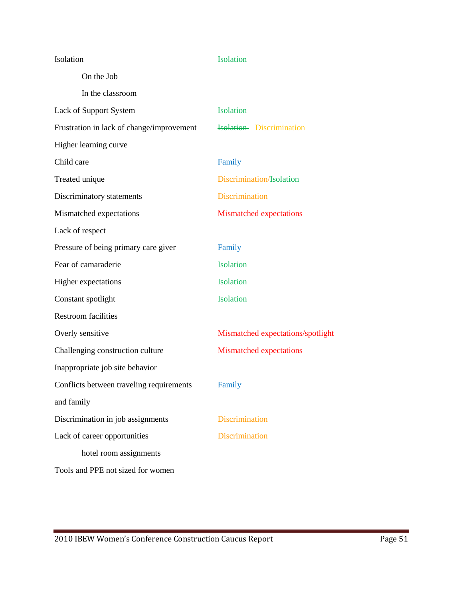| Isolation                                 | Isolation                         |
|-------------------------------------------|-----------------------------------|
| On the Job                                |                                   |
| In the classroom                          |                                   |
| Lack of Support System                    | Isolation                         |
| Frustration in lack of change/improvement | <b>Isolation</b> Discrimination   |
| Higher learning curve                     |                                   |
| Child care                                | Family                            |
| Treated unique                            | Discrimination/Isolation          |
| Discriminatory statements                 | <b>Discrimination</b>             |
| Mismatched expectations                   | <b>Mismatched expectations</b>    |
| Lack of respect                           |                                   |
| Pressure of being primary care giver      | Family                            |
| Fear of camaraderie                       | Isolation                         |
| Higher expectations                       | Isolation                         |
| Constant spotlight                        | Isolation                         |
| <b>Restroom facilities</b>                |                                   |
| Overly sensitive                          | Mismatched expectations/spotlight |
| Challenging construction culture          | <b>Mismatched expectations</b>    |
| Inappropriate job site behavior           |                                   |
| Conflicts between traveling requirements  | Family                            |
| and family                                |                                   |
| Discrimination in job assignments         | <b>Discrimination</b>             |
| Lack of career opportunities              | <b>Discrimination</b>             |
| hotel room assignments                    |                                   |
| Tools and PPE not sized for women         |                                   |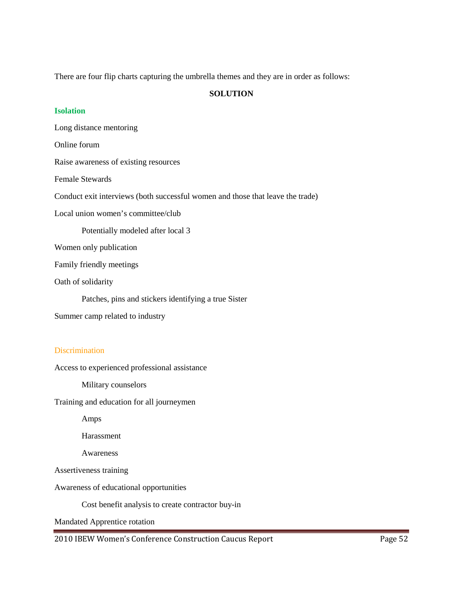There are four flip charts capturing the umbrella themes and they are in order as follows:

# **SOLUTION**

#### **Isolation**

Long distance mentoring

Online forum

Raise awareness of existing resources

Female Stewards

Conduct exit interviews (both successful women and those that leave the trade)

Local union women's committee/club

Potentially modeled after local 3

Women only publication

Family friendly meetings

Oath of solidarity

Patches, pins and stickers identifying a true Sister

Summer camp related to industry

## **Discrimination**

Access to experienced professional assistance

Military counselors

Training and education for all journeymen

Amps

Harassment

Awareness

Assertiveness training

Awareness of educational opportunities

Cost benefit analysis to create contractor buy-in

Mandated Apprentice rotation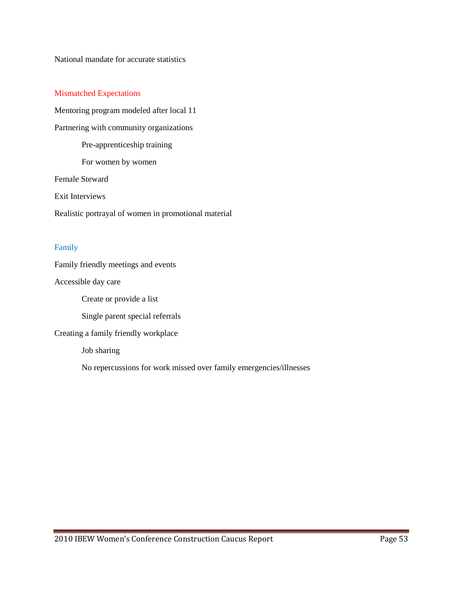National mandate for accurate statistics

#### Mismatched Expectations

Mentoring program modeled after local 11 Partnering with community organizations Pre-apprenticeship training For women by women Female Steward Exit Interviews Realistic portrayal of women in promotional material

#### Family

Family friendly meetings and events

Accessible day care

Create or provide a list

Single parent special referrals

Creating a family friendly workplace

Job sharing

No repercussions for work missed over family emergencies/illnesses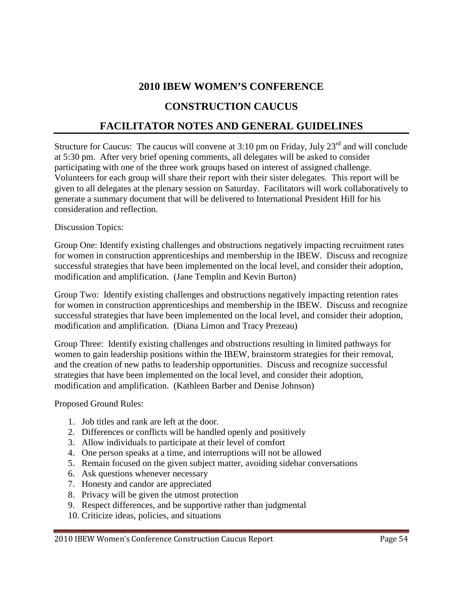# **2010 IBEW WOMEN'S CONFERENCE**

# **CONSTRUCTION CAUCUS**

# **FACILITATOR NOTES AND GENERAL GUIDELINES**

Structure for Caucus: The caucus will convene at  $3:10$  pm on Friday, July  $23<sup>rd</sup>$  and will conclude at 5:30 pm. After very brief opening comments, all delegates will be asked to consider participating with one of the three work groups based on interest of assigned challenge. Volunteers for each group will share their report with their sister delegates. This report will be given to all delegates at the plenary session on Saturday. Facilitators will work collaboratively to generate a summary document that will be delivered to International President Hill for his consideration and reflection.

# Discussion Topics:

Group One: Identify existing challenges and obstructions negatively impacting recruitment rates for women in construction apprenticeships and membership in the IBEW. Discuss and recognize successful strategies that have been implemented on the local level, and consider their adoption, modification and amplification. (Jane Templin and Kevin Burton)

Group Two: Identify existing challenges and obstructions negatively impacting retention rates for women in construction apprenticeships and membership in the IBEW. Discuss and recognize successful strategies that have been implemented on the local level, and consider their adoption, modification and amplification. (Diana Limon and Tracy Prezeau)

Group Three: Identify existing challenges and obstructions resulting in limited pathways for women to gain leadership positions within the IBEW, brainstorm strategies for their removal, and the creation of new paths to leadership opportunities. Discuss and recognize successful strategies that have been implemented on the local level, and consider their adoption, modification and amplification. (Kathleen Barber and Denise Johnson)

Proposed Ground Rules:

- 1. Job titles and rank are left at the door.
- 2. Differences or conflicts will be handled openly and positively
- 3. Allow individuals to participate at their level of comfort
- 4. One person speaks at a time, and interruptions will not be allowed
- 5. Remain focused on the given subject matter, avoiding sidebar conversations
- 6. Ask questions whenever necessary
- 7. Honesty and candor are appreciated
- 8. Privacy will be given the utmost protection
- 9. Respect differences, and be supportive rather than judgmental
- 10. Criticize ideas, policies, and situations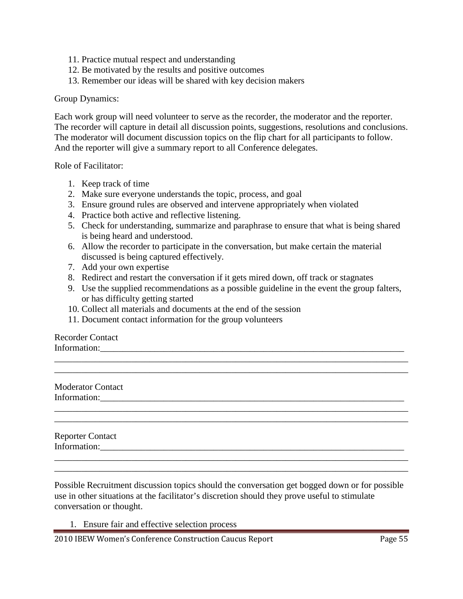- 11. Practice mutual respect and understanding
- 12. Be motivated by the results and positive outcomes
- 13. Remember our ideas will be shared with key decision makers

#### Group Dynamics:

Each work group will need volunteer to serve as the recorder, the moderator and the reporter. The recorder will capture in detail all discussion points, suggestions, resolutions and conclusions. The moderator will document discussion topics on the flip chart for all participants to follow. And the reporter will give a summary report to all Conference delegates.

Role of Facilitator:

- 1. Keep track of time
- 2. Make sure everyone understands the topic, process, and goal
- 3. Ensure ground rules are observed and intervene appropriately when violated
- 4. Practice both active and reflective listening.
- 5. Check for understanding, summarize and paraphrase to ensure that what is being shared is being heard and understood.
- 6. Allow the recorder to participate in the conversation, but make certain the material discussed is being captured effectively.
- 7. Add your own expertise
- 8. Redirect and restart the conversation if it gets mired down, off track or stagnates
- 9. Use the supplied recommendations as a possible guideline in the event the group falters, or has difficulty getting started

\_\_\_\_\_\_\_\_\_\_\_\_\_\_\_\_\_\_\_\_\_\_\_\_\_\_\_\_\_\_\_\_\_\_\_\_\_\_\_\_\_\_\_\_\_\_\_\_\_\_\_\_\_\_\_\_\_\_\_\_\_\_\_\_\_\_\_\_\_\_\_\_\_\_\_\_\_\_ \_\_\_\_\_\_\_\_\_\_\_\_\_\_\_\_\_\_\_\_\_\_\_\_\_\_\_\_\_\_\_\_\_\_\_\_\_\_\_\_\_\_\_\_\_\_\_\_\_\_\_\_\_\_\_\_\_\_\_\_\_\_\_\_\_\_\_\_\_\_\_\_\_\_\_\_\_\_

\_\_\_\_\_\_\_\_\_\_\_\_\_\_\_\_\_\_\_\_\_\_\_\_\_\_\_\_\_\_\_\_\_\_\_\_\_\_\_\_\_\_\_\_\_\_\_\_\_\_\_\_\_\_\_\_\_\_\_\_\_\_\_\_\_\_\_\_\_\_\_\_\_\_\_\_\_\_ \_\_\_\_\_\_\_\_\_\_\_\_\_\_\_\_\_\_\_\_\_\_\_\_\_\_\_\_\_\_\_\_\_\_\_\_\_\_\_\_\_\_\_\_\_\_\_\_\_\_\_\_\_\_\_\_\_\_\_\_\_\_\_\_\_\_\_\_\_\_\_\_\_\_\_\_\_\_

- 10. Collect all materials and documents at the end of the session
- 11. Document contact information for the group volunteers

Recorder Contact Information:\_\_\_\_\_\_\_\_\_\_\_\_\_\_\_\_\_\_\_\_\_\_\_\_\_\_\_\_\_\_\_\_\_\_\_\_\_\_\_\_\_\_\_\_\_\_\_\_\_\_\_\_\_\_\_\_\_\_\_\_\_\_\_\_\_\_\_

Moderator Contact Information:\_\_\_\_\_\_\_\_\_\_\_\_\_\_\_\_\_\_\_\_\_\_\_\_\_\_\_\_\_\_\_\_\_\_\_\_\_\_\_\_\_\_\_\_\_\_\_\_\_\_\_\_\_\_\_\_\_\_\_\_\_\_\_\_\_\_\_

Reporter Contact Information:

Possible Recruitment discussion topics should the conversation get bogged down or for possible use in other situations at the facilitator's discretion should they prove useful to stimulate conversation or thought.

\_\_\_\_\_\_\_\_\_\_\_\_\_\_\_\_\_\_\_\_\_\_\_\_\_\_\_\_\_\_\_\_\_\_\_\_\_\_\_\_\_\_\_\_\_\_\_\_\_\_\_\_\_\_\_\_\_\_\_\_\_\_\_\_\_\_\_\_\_\_\_\_\_\_\_\_\_\_ \_\_\_\_\_\_\_\_\_\_\_\_\_\_\_\_\_\_\_\_\_\_\_\_\_\_\_\_\_\_\_\_\_\_\_\_\_\_\_\_\_\_\_\_\_\_\_\_\_\_\_\_\_\_\_\_\_\_\_\_\_\_\_\_\_\_\_\_\_\_\_\_\_\_\_\_\_\_

1. Ensure fair and effective selection process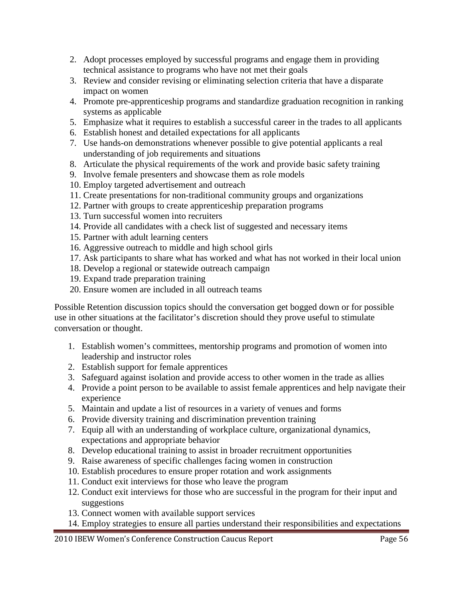- 2. Adopt processes employed by successful programs and engage them in providing technical assistance to programs who have not met their goals
- 3. Review and consider revising or eliminating selection criteria that have a disparate impact on women
- 4. Promote pre-apprenticeship programs and standardize graduation recognition in ranking systems as applicable
- 5. Emphasize what it requires to establish a successful career in the trades to all applicants
- 6. Establish honest and detailed expectations for all applicants
- 7. Use hands-on demonstrations whenever possible to give potential applicants a real understanding of job requirements and situations
- 8. Articulate the physical requirements of the work and provide basic safety training
- 9. Involve female presenters and showcase them as role models
- 10. Employ targeted advertisement and outreach
- 11. Create presentations for non-traditional community groups and organizations
- 12. Partner with groups to create apprenticeship preparation programs
- 13. Turn successful women into recruiters
- 14. Provide all candidates with a check list of suggested and necessary items
- 15. Partner with adult learning centers
- 16. Aggressive outreach to middle and high school girls
- 17. Ask participants to share what has worked and what has not worked in their local union
- 18. Develop a regional or statewide outreach campaign
- 19. Expand trade preparation training
- 20. Ensure women are included in all outreach teams

Possible Retention discussion topics should the conversation get bogged down or for possible use in other situations at the facilitator's discretion should they prove useful to stimulate conversation or thought.

- 1. Establish women's committees, mentorship programs and promotion of women into leadership and instructor roles
- 2. Establish support for female apprentices
- 3. Safeguard against isolation and provide access to other women in the trade as allies
- 4. Provide a point person to be available to assist female apprentices and help navigate their experience
- 5. Maintain and update a list of resources in a variety of venues and forms
- 6. Provide diversity training and discrimination prevention training
- 7. Equip all with an understanding of workplace culture, organizational dynamics, expectations and appropriate behavior
- 8. Develop educational training to assist in broader recruitment opportunities
- 9. Raise awareness of specific challenges facing women in construction
- 10. Establish procedures to ensure proper rotation and work assignments
- 11. Conduct exit interviews for those who leave the program
- 12. Conduct exit interviews for those who are successful in the program for their input and suggestions
- 13. Connect women with available support services
- 14. Employ strategies to ensure all parties understand their responsibilities and expectations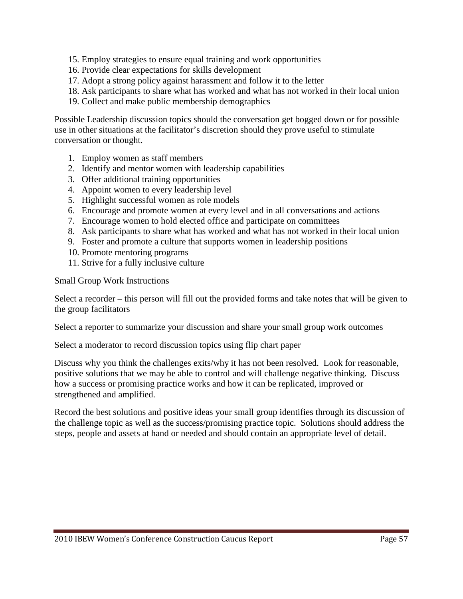- 15. Employ strategies to ensure equal training and work opportunities
- 16. Provide clear expectations for skills development
- 17. Adopt a strong policy against harassment and follow it to the letter
- 18. Ask participants to share what has worked and what has not worked in their local union
- 19. Collect and make public membership demographics

Possible Leadership discussion topics should the conversation get bogged down or for possible use in other situations at the facilitator's discretion should they prove useful to stimulate conversation or thought.

- 1. Employ women as staff members
- 2. Identify and mentor women with leadership capabilities
- 3. Offer additional training opportunities
- 4. Appoint women to every leadership level
- 5. Highlight successful women as role models
- 6. Encourage and promote women at every level and in all conversations and actions
- 7. Encourage women to hold elected office and participate on committees
- 8. Ask participants to share what has worked and what has not worked in their local union
- 9. Foster and promote a culture that supports women in leadership positions
- 10. Promote mentoring programs
- 11. Strive for a fully inclusive culture

Small Group Work Instructions

Select a recorder – this person will fill out the provided forms and take notes that will be given to the group facilitators

Select a reporter to summarize your discussion and share your small group work outcomes

Select a moderator to record discussion topics using flip chart paper

Discuss why you think the challenges exits/why it has not been resolved. Look for reasonable, positive solutions that we may be able to control and will challenge negative thinking. Discuss how a success or promising practice works and how it can be replicated, improved or strengthened and amplified.

Record the best solutions and positive ideas your small group identifies through its discussion of the challenge topic as well as the success/promising practice topic. Solutions should address the steps, people and assets at hand or needed and should contain an appropriate level of detail.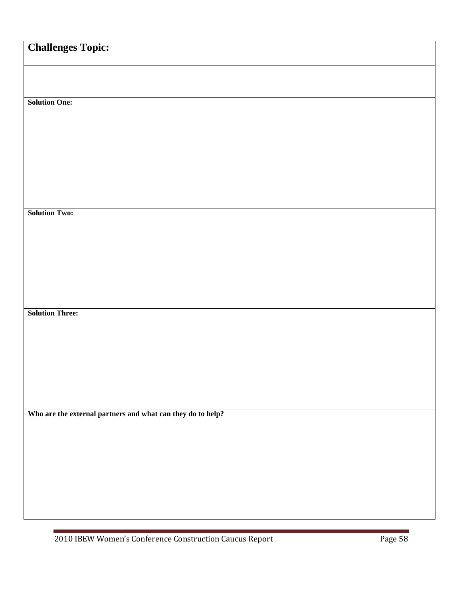| <b>Challenges Topic:</b>                                    |  |  |
|-------------------------------------------------------------|--|--|
|                                                             |  |  |
|                                                             |  |  |
| <b>Solution One:</b>                                        |  |  |
|                                                             |  |  |
|                                                             |  |  |
|                                                             |  |  |
|                                                             |  |  |
|                                                             |  |  |
| <b>Solution Two:</b>                                        |  |  |
|                                                             |  |  |
|                                                             |  |  |
|                                                             |  |  |
|                                                             |  |  |
|                                                             |  |  |
| <b>Solution Three:</b>                                      |  |  |
|                                                             |  |  |
|                                                             |  |  |
|                                                             |  |  |
|                                                             |  |  |
|                                                             |  |  |
| Who are the external partners and what can they do to help? |  |  |
|                                                             |  |  |
|                                                             |  |  |
|                                                             |  |  |
|                                                             |  |  |
|                                                             |  |  |
|                                                             |  |  |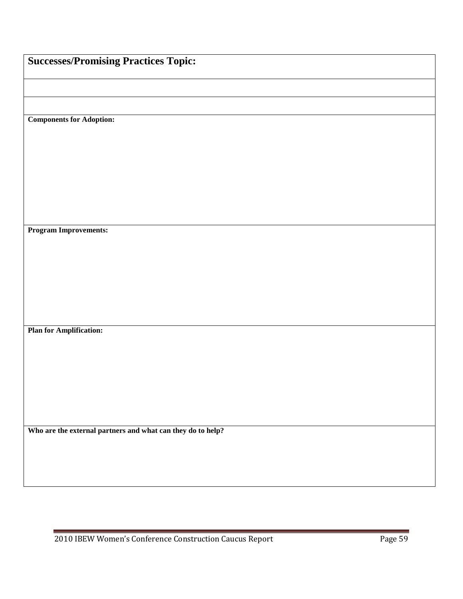| <b>Successes/Promising Practices Topic:</b>                 |  |
|-------------------------------------------------------------|--|
|                                                             |  |
|                                                             |  |
| <b>Components for Adoption:</b>                             |  |
|                                                             |  |
|                                                             |  |
|                                                             |  |
|                                                             |  |
|                                                             |  |
| <b>Program Improvements:</b>                                |  |
|                                                             |  |
|                                                             |  |
|                                                             |  |
|                                                             |  |
| <b>Plan for Amplification:</b>                              |  |
|                                                             |  |
|                                                             |  |
|                                                             |  |
|                                                             |  |
| Who are the external partners and what can they do to help? |  |
|                                                             |  |
|                                                             |  |
|                                                             |  |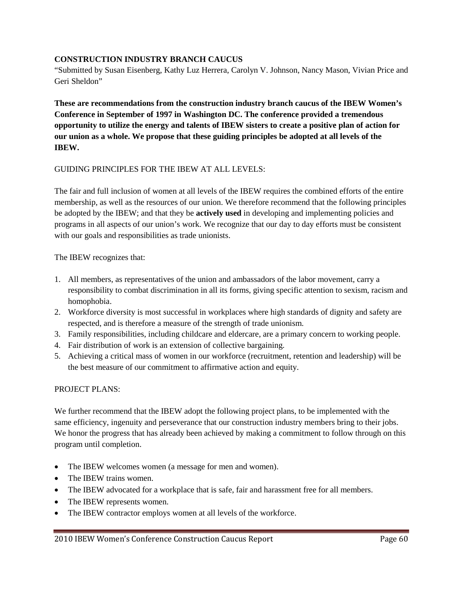# **CONSTRUCTION INDUSTRY BRANCH CAUCUS**

"Submitted by Susan Eisenberg, Kathy Luz Herrera, Carolyn V. Johnson, Nancy Mason, Vivian Price and Geri Sheldon"

**These are recommendations from the construction industry branch caucus of the IBEW Women's Conference in September of 1997 in Washington DC. The conference provided a tremendous opportunity to utilize the energy and talents of IBEW sisters to create a positive plan of action for our union as a whole. We propose that these guiding principles be adopted at all levels of the IBEW.** 

## GUIDING PRINCIPLES FOR THE IBEW AT ALL LEVELS:

The fair and full inclusion of women at all levels of the IBEW requires the combined efforts of the entire membership, as well as the resources of our union. We therefore recommend that the following principles be adopted by the IBEW; and that they be **actively used** in developing and implementing policies and programs in all aspects of our union's work. We recognize that our day to day efforts must be consistent with our goals and responsibilities as trade unionists.

The IBEW recognizes that:

- 1. All members, as representatives of the union and ambassadors of the labor movement, carry a responsibility to combat discrimination in all its forms, giving specific attention to sexism, racism and homophobia.
- 2. Workforce diversity is most successful in workplaces where high standards of dignity and safety are respected, and is therefore a measure of the strength of trade unionism.
- 3. Family responsibilities, including childcare and eldercare, are a primary concern to working people.
- 4. Fair distribution of work is an extension of collective bargaining.
- 5. Achieving a critical mass of women in our workforce (recruitment, retention and leadership) will be the best measure of our commitment to affirmative action and equity.

## PROJECT PLANS:

We further recommend that the IBEW adopt the following project plans, to be implemented with the same efficiency, ingenuity and perseverance that our construction industry members bring to their jobs. We honor the progress that has already been achieved by making a commitment to follow through on this program until completion.

- The IBEW welcomes women (a message for men and women).
- The IBEW trains women.
- The IBEW advocated for a workplace that is safe, fair and harassment free for all members.
- The IBEW represents women.
- The IBEW contractor employs women at all levels of the workforce.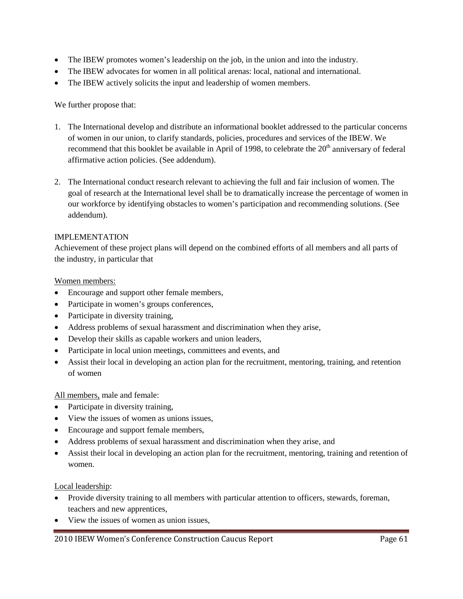- The IBEW promotes women's leadership on the job, in the union and into the industry.
- The IBEW advocates for women in all political arenas: local, national and international.
- The IBEW actively solicits the input and leadership of women members.

We further propose that:

- 1. The International develop and distribute an informational booklet addressed to the particular concerns of women in our union, to clarify standards, policies, procedures and services of the IBEW. We recommend that this booklet be available in April of 1998, to celebrate the  $20<sup>th</sup>$  anniversary of federal affirmative action policies. (See addendum).
- 2. The International conduct research relevant to achieving the full and fair inclusion of women. The goal of research at the International level shall be to dramatically increase the percentage of women in our workforce by identifying obstacles to women's participation and recommending solutions. (See addendum).

# IMPLEMENTATION

Achievement of these project plans will depend on the combined efforts of all members and all parts of the industry, in particular that

## Women members:

- Encourage and support other female members,
- Participate in women's groups conferences,
- Participate in diversity training,
- Address problems of sexual harassment and discrimination when they arise,
- Develop their skills as capable workers and union leaders,
- Participate in local union meetings, committees and events, and
- Assist their local in developing an action plan for the recruitment, mentoring, training, and retention of women

All members, male and female:

- Participate in diversity training,
- View the issues of women as unions issues,
- Encourage and support female members,
- Address problems of sexual harassment and discrimination when they arise, and
- Assist their local in developing an action plan for the recruitment, mentoring, training and retention of women.

Local leadership:

- Provide diversity training to all members with particular attention to officers, stewards, foreman, teachers and new apprentices,
- View the issues of women as union issues,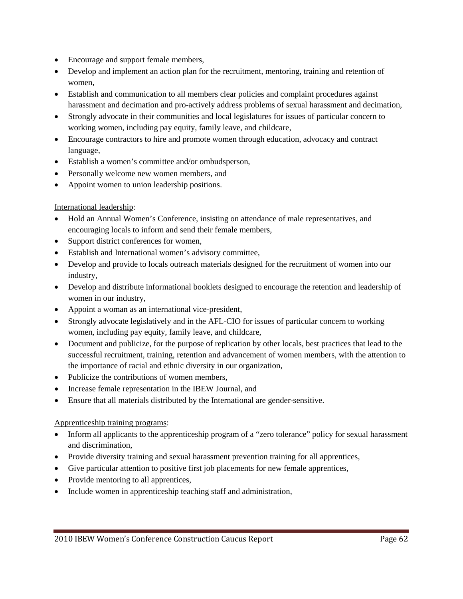- Encourage and support female members,
- Develop and implement an action plan for the recruitment, mentoring, training and retention of women,
- Establish and communication to all members clear policies and complaint procedures against harassment and decimation and pro-actively address problems of sexual harassment and decimation,
- Strongly advocate in their communities and local legislatures for issues of particular concern to working women, including pay equity, family leave, and childcare,
- Encourage contractors to hire and promote women through education, advocacy and contract language,
- Establish a women's committee and/or ombudsperson,
- Personally welcome new women members, and
- Appoint women to union leadership positions.

## International leadership:

- Hold an Annual Women's Conference, insisting on attendance of male representatives, and encouraging locals to inform and send their female members,
- Support district conferences for women,
- Establish and International women's advisory committee,
- Develop and provide to locals outreach materials designed for the recruitment of women into our industry,
- Develop and distribute informational booklets designed to encourage the retention and leadership of women in our industry,
- Appoint a woman as an international vice-president,
- Strongly advocate legislatively and in the AFL-CIO for issues of particular concern to working women, including pay equity, family leave, and childcare,
- Document and publicize, for the purpose of replication by other locals, best practices that lead to the successful recruitment, training, retention and advancement of women members, with the attention to the importance of racial and ethnic diversity in our organization,
- Publicize the contributions of women members,
- Increase female representation in the IBEW Journal, and
- Ensure that all materials distributed by the International are gender-sensitive.

## Apprenticeship training programs:

- Inform all applicants to the apprenticeship program of a "zero tolerance" policy for sexual harassment and discrimination,
- Provide diversity training and sexual harassment prevention training for all apprentices,
- Give particular attention to positive first job placements for new female apprentices,
- Provide mentoring to all apprentices,
- Include women in apprenticeship teaching staff and administration,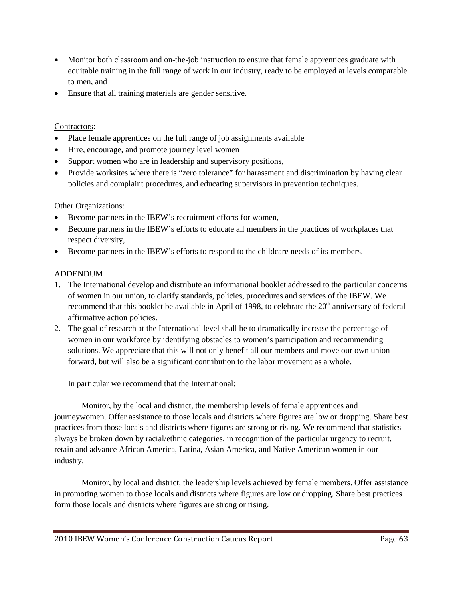- Monitor both classroom and on-the-job instruction to ensure that female apprentices graduate with equitable training in the full range of work in our industry, ready to be employed at levels comparable to men, and
- Ensure that all training materials are gender sensitive.

# Contractors:

- Place female apprentices on the full range of job assignments available
- Hire, encourage, and promote journey level women
- Support women who are in leadership and supervisory positions,
- Provide worksites where there is "zero tolerance" for harassment and discrimination by having clear policies and complaint procedures, and educating supervisors in prevention techniques.

# Other Organizations:

- Become partners in the IBEW's recruitment efforts for women,
- Become partners in the IBEW's efforts to educate all members in the practices of workplaces that respect diversity,
- Become partners in the IBEW's efforts to respond to the childcare needs of its members.

# ADDENDUM

- 1. The International develop and distribute an informational booklet addressed to the particular concerns of women in our union, to clarify standards, policies, procedures and services of the IBEW. We recommend that this booklet be available in April of 1998, to celebrate the  $20<sup>th</sup>$  anniversary of federal affirmative action policies.
- 2. The goal of research at the International level shall be to dramatically increase the percentage of women in our workforce by identifying obstacles to women's participation and recommending solutions. We appreciate that this will not only benefit all our members and move our own union forward, but will also be a significant contribution to the labor movement as a whole.

In particular we recommend that the International:

Monitor, by the local and district, the membership levels of female apprentices and journeywomen. Offer assistance to those locals and districts where figures are low or dropping. Share best practices from those locals and districts where figures are strong or rising. We recommend that statistics always be broken down by racial/ethnic categories, in recognition of the particular urgency to recruit, retain and advance African America, Latina, Asian America, and Native American women in our industry.

Monitor, by local and district, the leadership levels achieved by female members. Offer assistance in promoting women to those locals and districts where figures are low or dropping. Share best practices form those locals and districts where figures are strong or rising.